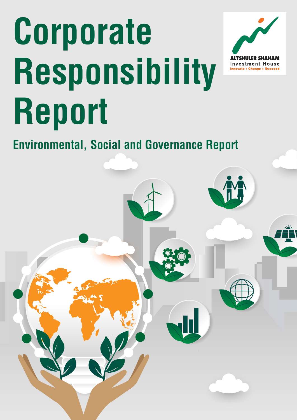# <span id="page-0-0"></span>**Corporate Responsibility Report**



## **Environmental, Social and Governance Report**

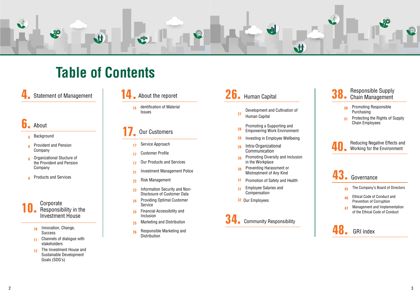

# **Table of Contents**

**4** Statement of Management  $\begin{vmatrix} 1 & 1 & 1 \end{vmatrix}$  About the reporet **26.** Human Capital Statement of Management  $\begin{array}{|c|c|}\n\hline\n\bullet\quad \bullet\end{array}$  About the reporet  $\begin{array}{|c|c|}\n\hline\n\bullet\end{array}$  Human Capital

### **[17.](#page-10-0)** Our Customers

- Service Approach **17**
- **Customer Profile 17**
- **Our Products and Services 17**
- **Investment Management Police 21**
- Risk Management **22**
- Disclosure of Customer Data Information Security and Non-**23**
- Providing Optimal Customer **24** Service
- Financial Accessibility and **25** Inclusion
- Marketing and Distribution **25**
- Responsible Marketing and **26 Distribution**

### **[48.](#page-32-0) GRI** index

#### **[40.](#page-26-0)** Reducing Negative Effects and Working for the Environment

### **[43.](#page-28-0)** [Governance](#page-28-0)

- The Company's Board of Directors **43**
- Ethical Code of Conduct and **46** Prevention of Corruption
- Management and Implementation **47** of the Ethical Code of Conduct
- Background **6**
- Provident and Pension **6** Company
- **a** Organizational Stucture of the Provident and Pension Company
- <mark>8</mark> Products and Services

Development and Cultivation of **27** Human Capital Promoting a Supporting and **28** Empowering Work Environment **28** Investing in Employee Wellbeing **29** Intra-Organizational Communication Promoting Diversity and Inclusion **30** in the Workplace Preventing Harassment or **30** Mistreatment of Any Kind **31** Promotion of Safety and Health **Employee Salaries and 31** Compensation **32** Our Employees [Responsibility Community](#page-22-0) **[34.](#page-22-0)**

### Responsible Supply  $56$  Chain Management

- Promoting Responsible **[50](#page-25-0)** Purchasing
- Protecting the Rights of Supply **[51](#page-25-0) Chain Employees**

#### **Corporate** Responsibility in the **Investment House [10.](#page-2-0)**

- Innovation, Change, **10** Success
- Channels of dialogue with **11** stakeholders
- The Investment House and **12** Sustainable Development Goals (SDG's)
- 14 About the reporet [26.](#page-17-0)
	- 15 dentification of Material **Issues**

#### [About](#page-3-0) **[6.](#page-2-0)**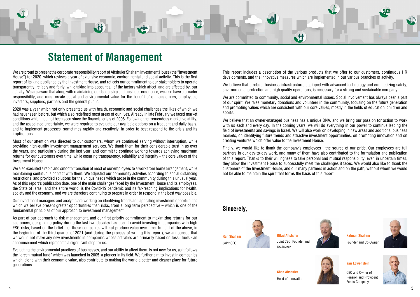<span id="page-2-0"></span>

## **Statement of Management**

We are proud to present the corporate responsibility report of Altshuler Shaham Investment House (the "Investment House") for 2020, which reviews a vear of extensive economic, environmental and social activity. This is the first report of its kind published by the Investment House, and reflects our commitment to our stakeholders to operate transparently, reliably and fairly, while taking into account all of the factors which affect, and are affected by, our activity. We are aware that along with maintaining our leadership and business excellence, we also have a broader responsibility, and must create social and environmental value for the benefit of our customers, employees, investors, suppliers, partners and the general public.

2020 was a year which not only presented us with health, economic and social challenges the likes of which we had never seen before, but which also redefined most areas of our lives. Already in late February we faced market conditions which had not been seen since the financial crisis of 2008. Following the tremendous market volatility, and the associated uncertainty, we were required to evaluate our available options on a frequent and daily basis, and to implement processes, sometimes rapidly and creatively, in order to best respond to the crisis and its .implications

Most of our attention was directed to our customers, whom we continued serving without interruption, while providing high-quality investment management services. We thank them for their considerable trust in us over the years, and particularly during the last year, and commit to continue working towards achieving maximum returns for our customers over time, while ensuring transparency, reliability and integrity – the core values of the Investment House.

We also executed a rapid and smooth transition of most of our employees to a work from home arrangement, while maintaining continuous contact with them. We adjusted our community activities according to social distancing restrictions, and provided solutions for the unique needs which arose in the community during this unusual year. As of this report's publication date, one of the main challenges faced by the Investment House and its employees, the State of Israel, and the entire world, is the Covid-19 pandemic and its far-reaching implications for health, society and the economy, and we are therefore continuing to prepare in order to respond in the best way possible.

Our investment managers and analysts are working on identifying trends and appealing investment opportunities which we believe present greater opportunities than risks, from a long term perspective – which is one of the fundamental principles of our approach to investment management.

As part of our approach to risk management, and our first-priority commitment to maximizing returns for our customers, our quiding policy during the last two decades has been to avoid investing in companies with high ESG risks, based on the belief that those companies will **not** produce value over time. In light of the above, in the beginning of the third quarter of 2021 (and during the process of writing this report), we announced that we would not make any new investments in companies whose activities are primarily based on fossil fuels - an announcement which represents a significant step for us.

Evaluating the environmental practices of businesses, and our ability to affect them, is not new for us, as it follows the "green mutual fund" which was launched in 2005, a pioneer in its field. We further aim to invest in companies which, along with their economic value, also contribute to making the world a better and cleaner place for future .generations

This report includes a description of the various products that we offer to our customers, continuous HR developments, and the innovative measures which are implemented in our various branches of activity.

We believe that a robust business infrastructure, equipped with advanced technology and emphasizing safety. environmental protection and high quality operations, is necessary for a strong and sustainable company.

We are committed to community, social and environmental issues. Social involvement has always been a part of our spirit. We raise monetary donations and volunteer in the community, focusing on the future generation and promoting values which are consistent with our core values, mostly in the fields of education, children and .sports

We believe that an owner-managed business has a unique DNA, and we bring our passion for action to work with us each and every day. In the coming years, we will do everything in our power to continue leading the field of investments and savings in Israel. We will also work on developing in new areas and additional business markets, on identifying future trends and attractive investment opportunities, on promoting innovation and on creating ventures which offer value to the Investment House.

Finally, we would like to thank the company's employees - the source of our pride. Our employees are full partners in our day-to-day work, and many of them have also contributed to the formulation and publication of this report. Thanks to their willingness to take personal and mutual responsibility, even in uncertain times, they allow the Investment House to successfully meet the challenges it faces. We would also like to thank the customers of the Investment House, and our many partners in action and on the path, without whom we would not be able to maintain the spirit that forms the basis of this report.

#### Sincerely.





#### **Lowenstein Yair**

CEO and Owner of Pension and Provident **Funds Company** 







**Gilad Altshuler** Joint CEO. Founder and Co-Owner

- 
- 
- 
- 
- 

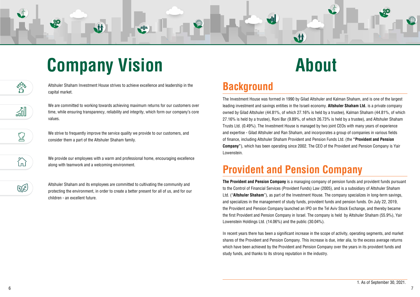# <span id="page-3-0"></span>**Company Vision About**

M



Altshuler Shaham Investment House strives to achieve excellence and leadership in the capital market.



We are committed to working towards achieving maximum returns for our customers over time, while ensuring transparency, reliability and integrity, which form our company's core .values



We strive to frequently improve the service quality we provide to our customers, and consider them a part of the Altshuler Shaham family.

We provide our employees with a warm and professional home, encouraging excellence along with teamwork and a welcoming environment.



ĺпÌ

Altshuler Shaham and its employees are committed to cultivating the community and protecting the environment, in order to create a better present for all of us, and for our children - an excellent future.

**M** 

# **Background**

The Investment House was formed in 1990 by Gilad Altshuler and Kalman Shaham, and is one of the largest leading investment and savings entities in the Israeli economy. **Altshuler Shaham Ltd.** is a private company owned by Gilad Altshuler (44.81%, of which 27.16% is held by a trustee), Kalman Shaham (44.81%, of which 27.16% is held by a trustee), Roni Bar (9.89%, of which 26.73% is held by a trustee), and Altshuler Shaham Trusts Ltd. (0.49%). The Investment House is managed by two joint CEOs with many vears of experience and expertise - Gilad Altshuler and Ran Shaham, and incorporates a group of companies in various fields of finance, including Altshuler Shaham Provident and Pension Funds Ltd. (the "**Provident and Pension Company**"), which has been operating since 2002. The CEO of the Provident and Pension Company is Yair .Lowenstein

# **Provident and Pension Company**

**The Provident and Pension Company** is a managing company of pension funds and provident funds pursuant to the Control of Financial Services (Provident Funds) Law (2005), and is a subsidiary of Altshuler Shaham Ltd. ("**Altshuler Shaham**"), as part of the Investment House. The company specializes in long-term savings, and specializes in the management of study funds, provident funds and pension funds. On July 22, 2019, the Provident and Pension Company launched an IPO on the Tel Aviv Stock Exchange, and thereby became the first Provident and Pension Company in Israel. The company is held by Altshuler Shaham (55.9%). Yair Lowenstein Holdings Ltd.  $(14.06\%)$  and the public  $(30.04\%)$ .

In recent years there has been a significant increase in the scope of activity, operating segments, and market shares of the Provident and Pension Company. This increase is due, inter alia, to the excess average returns which have been achieved by the Provident and Pension Company over the years in its provident funds and study funds, and thanks to its strong reputation in the industry.

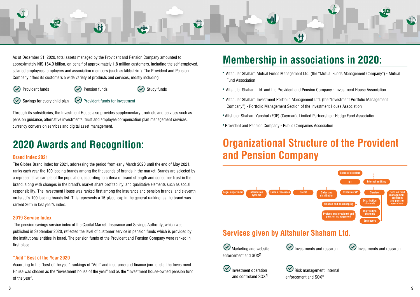<span id="page-4-0"></span>

As of December 31, 2020, total assets managed by the Provident and Pension Company amounted to approximately NIS 164.9 billion, on behalf of approximately 1.8 million customers, including the self-employed, salaried employees, employers and association members (such as kibbutzim). The Provident and Pension Company offers its customers a wide variety of products and services, mostly including:



**Provident funds**  $(\checkmark)$  Pension funds  $(\checkmark)$  Study funds

 $\odot$  Savings for every child plan  $\odot$  Provident funds for investment

Through its subsidiaries, the Investment House also provides supplementary products and services such as pension guidance, alternative investments, trust and employee compensation plan management services, currency conversion services and digital asset management.

# **2020 Awards and Recognition:**

#### **Brand Index 2021**

The Globes Brand Index for 2021, addressing the period from early March 2020 until the end of May 2021, ranks each year the 100 leading brands among the thousands of brands in the market. Brands are selected by a representative sample of the population, according to criteria of brand strength and consumer trust in the brand, along with changes in the brand's market share profitability, and qualitative elements such as social responsibility. The Investment House was ranked first among the insurance and pension brands, and eleventh on Israel's 100 leading brands list. This represents a 15-place leap in the general ranking, as the brand was ranked 26th in last year's index.

#### **2019 Service Index**

The pension savings service index of the Capital Market, Insurance and Savings Authority, which was published in September 2020, reflected the level of customer service in pension funds which is provided by the institutional entities in Israel. The pension funds of the Provident and Pension Company were ranked in first place.

#### **2020** "Adif" Best of the Year 2020

According to the "best of the year" rankings of "Adif" and insurance and finance journalists, the Investment House was chosen as the "investment house of the year" and as the "investment house-owned pension fund of the year".

# **Membership in associations in 2020:**

- Altshuler Shaham Mutual Funds Management Ltd. (the "Mutual Funds Management Company") Mutual Fund Association
- Altshuler Shaham Ltd. and the Provident and Pension Company Investment House Association
- Altshuler Shaham Investment Portfolio Management Ltd. (the "Investment Portfolio Management Company") - Portfolio Management Section of the Investment House Association
- Altshuler Shaham Yanshuf (FOF) (Cayman), Limited Partnership Hedge Fund Association
- Provident and Pension Company Public Companies Association

# **Organizational Structure of the Provident and Pension Company**





 $\bigodot$  Risk management, internal enforcement and  $SOX^{\Pi}$  $\bigcirc$  Investment operation and controland SOX<sup>II</sup>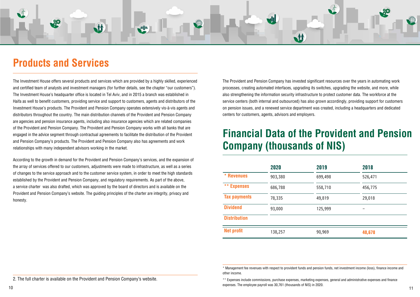<span id="page-5-0"></span>

# **Products and Services**

The Investment House offers several products and services which are provided by a highly skilled, experienced and certified team of analysts and investment managers (for further details, see the chapter "our customers"). The Investment House's headquarter office is located in Tel Aviv, and in 2015 a branch was established in Haifa as well to benefit customers, providing service and support to customers, agents and distributors of the Investment House's products. The Provident and Pension Company operates extensively vis-à-vis agents and distributors throughout the country. The main distribution channels of the Provident and Pension Company are agencies and pension insurance agents, including also insurance agencies which are related companies of the Provident and Pension Company. The Provident and Pension Company works with all banks that are engaged in the advice segment through contractual agreements to facilitate the distribution of the Provident and Pension Company's products. The Provident and Pension Company also has agreements and work relationships with many independent advisors working in the market.

According to the growth in demand for the Provident and Pension Company's services, and the expansion of the array of services offered to our customers, adjustments were made to infrastructure, as well as a series of changes to the service approach and to the customer service system, in order to meet the high standards established by the Provident and Pension Company, and regulatory requirements. As part of the above, a service charter was also drafted, which was approved by the board of directors and is available on the Provident and Pension Company's website. The guiding principles of the charter are integrity, privacy and honesty.

The Provident and Pension Company has invested significant resources over the years in automating work processes, creating automated interfaces, upgrading its switches, upgrading the website, and more, while also strengthening the information security infrastructure to protect customer data. The workforce at the service centers (both internal and outsourced) has also grown accordingly, providing support for customers on pension issues, and a renewed service department was created, including a headquarters and dedicated centers for customers, agents, advisors and employers.

# **Financial Data of the Provident and Pension Company (thousands of NIS)**

|                     | 2020    | 2019    | 2018    |  |
|---------------------|---------|---------|---------|--|
| * Revenues          | 903,380 | 699,498 | 526,471 |  |
| ** Expenses         | 686,788 | 558,710 | 456,775 |  |
| <b>Tax payments</b> | 78,335  | 49,819  | 29,018  |  |
| <b>Dividend</b>     | 93,000  | 125,999 |         |  |
| <b>Distribution</b> |         |         |         |  |
| <b>Net profit</b>   | 138,257 | 90,969  | 40,678  |  |

\*\* Expenses include commissions, purchase expenses, marketing expenses, general and administrative expenses and finance expenses. The employee payroll was 30,761 (thousands of NIS) in 2020.  $10$ 

2. The full charter is available on the Provident and Pension Company's website.

\* Management fee revenues with respect to provident funds and pension funds, net investment income (loss), finance income and

other income.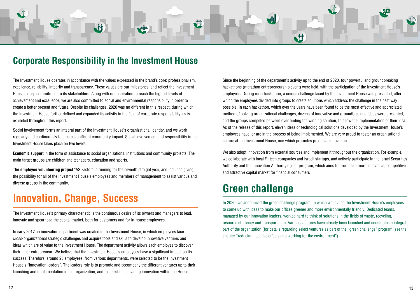## <span id="page-6-0"></span>**Corporate Responsibility in the Investment House**

M

The Investment House operates in accordance with the values expressed in the brand's core: professionalism, excellence, reliability, integrity and transparency. These values are our milestones, and reflect the Investment House's deep commitment to its stakeholders. Along with our aspiration to reach the highest levels of achievement and excellence, we are also committed to social and environmental responsibility in order to create a better present and future. Despite its challenges, 2020 was no different in this respect, during which the Investment House further defined and expanded its activity in the field of corporate responsibility, as is exhibited throughout this report.

Social involvement forms an integral part of the Investment House's organizational identity, and we work regularly and continuously to create significant community impact. Social involvement and responsibility in the Investment House takes place on two levels:

**Economic support** in the form of assistance to social organizations, institutions and community projects. The main target groups are children and teenagers, education and sports.

**The employee volunteering project** "AS Factor" is running for the seventh straight year, and includes giving the possibility for all of the Investment House's employees and members of management to assist various and diverse groups in the community.

# **Innovation, Change, Success**

The Investment House's primary characteristic is the continuous desire of its owners and managers to lead, innovate and spearhead the capital market, both for customers and for in-house employees.

In early 2017 an innovation department was created in the Investment House, in which employees face cross-organizational strategic challenges and acquire tools and skills to develop innovative ventures and ideas which are of value to the Investment House. The department activity allows each employee to discover their inner entrepreneur. We believe that the Investment House's employees have a significant impact on its success. Therefore, around 25 employees, from various departments, were selected to be the Investment House's "innovation leaders". The leaders role is to promote and accompany the different ventures up to their launching and implementation in the organization, and to assist in cultivating innovation within the House.

Since the beginning of the department's activity up to the end of 2020, four powerful and groundbreaking hackathons (marathon entrepreneurship event) were held, with the participation of the Investment House's employees. During each hackathon, a unique challenge faced by the Investment House was presented, after which the employees divided into groups to create solutions which address the challenge in the best way possible. In each hackathon, which over the vears have been found to be the most effective and appreciated method of solving organizational challenges, dozens of innovative and groundbreaking ideas were presented. and the groups competed between over finding the winning solution, to allow the implementation of their idea. As of the release of this report, eleven ideas or technological solutions developed by the Investment House's employees have, or are in the process of being implemented. We are very proud to foster an organizational culture at the Investment House, one which promotes proactive innovation.

**M** 

We also adopt innovation from external sources and implement it throughout the organization. For example, we collaborate with local Fintech companies and Israeli startups, and actively participate in the Israel Securities Authority and the Innovation Authority's joint program, which aims to promote a more innovative, competitive and attractive capital market for financial consumers

# **Green** challenge

In 2020, we announced the green challenge program, in which we invited the Investment House's employees to come up with ideas to make our offices greener and more environmentally friendly. Dedicated teams, managed by our innovation leaders, worked hard to think of solutions in the fields of waste, recycling, resource efficiency and transportation. Various ventures have already been launched and constitute an integral part of the organization (for details regarding select ventures as part of the "green challenge" program, see the chapter "reducing negative effects and working for the environment").

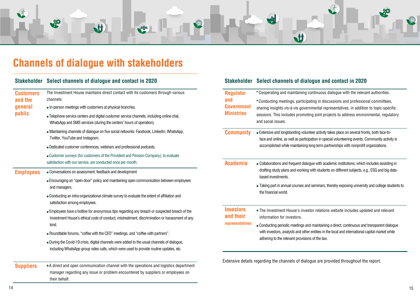<span id="page-7-0"></span>

# **Channels of dialogue with stakeholders**

| <b>Stakeholder</b> | Select channels of dialogue and contact in 2020                                                                                                                  |                   | Stakeholder Select channels of dialogue and contact in 2020                                                                                                                                     |  |
|--------------------|------------------------------------------------------------------------------------------------------------------------------------------------------------------|-------------------|-------------------------------------------------------------------------------------------------------------------------------------------------------------------------------------------------|--|
| <b>Customers</b>   | The Investment House maintains direct contact with its customers through various                                                                                 | <b>Regulator</b>  | • Cooperating and maintaining continuous dialogue with the relevant authorities.                                                                                                                |  |
| and the            | channels:                                                                                                                                                        | and               | • Conducting meetings, participating in discussions and professional committees,                                                                                                                |  |
| general            | • In-person meetings with customers at physical branches.                                                                                                        | <b>Government</b> | sharing insights vis-à-vis governmental representatives, in addition to topic-specific                                                                                                          |  |
| public             | • Telephone service centers and digital customer service channels, including online chat,<br>WhatsApp and SMS services (during the centers' hours of operation). | <b>Ministries</b> | sessions. This includes promoting joint projects to address environmental, regulator<br>and social issues.                                                                                      |  |
|                    | • Maintaining channels of dialogue on five social networks: Facebook, LinkedIn, WhatsApp,<br>Twitter, YouTube and Instagram.                                     | <b>Community</b>  | • Extensive and longstanding volunteer activity takes place on several fronts, both face-to-<br>face and online, as well as participation in special volunteering events. Community activity is |  |
|                    | • Dedicated customer conferences, webinars and professional podcasts.                                                                                            |                   | accomplished while maintaining long term partnerships with nonprofit organizations.                                                                                                             |  |
|                    | • Customer surveys (for customers of the Provident and Pension Company), to evaluate                                                                             |                   |                                                                                                                                                                                                 |  |
|                    | satisfaction with our service, are conducted once per month.<br><b>Academia</b>                                                                                  |                   | • Collaborations and frequent dialogue with academic institutions, which includes assisting in                                                                                                  |  |
| <b>Employees</b>   | • Conversations on assessment, feedback and development                                                                                                          |                   | drafting study plans and working with students on different subjects, e.g., ESG and big data-                                                                                                   |  |
|                    | • Encouraging an "open door" policy and maintaining open communication between employees                                                                         |                   | based investments.                                                                                                                                                                              |  |
|                    | and managers.                                                                                                                                                    |                   | • Taking part in annual courses and seminars, thereby exposing university and college studen                                                                                                    |  |
|                    | • Conducting an intra-organizational climate survey to evaluate the extent of affiliation and<br>satisfaction among employees.                                   |                   | the financial world.                                                                                                                                                                            |  |
|                    | • Employees have a hotline for anonymous tips regarding any breach or suspected breach of the                                                                    | <b>Investors</b>  | • The Investment House's investor relations website includes updated and relevant                                                                                                               |  |
|                    | Investment House's ethical code of conduct, mistreatment, discrimination or harassment of any                                                                    | and their         | information for investors.                                                                                                                                                                      |  |
|                    | kind.                                                                                                                                                            | representatives   | • Conducting periodic meetings and maintaining a direct, continuous and transparent dialogue                                                                                                    |  |
|                    | • Roundtable forums, "coffee with the CEO" meetings, and "coffee with partners".                                                                                 |                   | with investors, analysts and other entities in the local and international capital market while                                                                                                 |  |
|                    | • During the Covid-19 crisis, digital channels were added to the usual channels of dialogue,                                                                     |                   | adhering to the relevant provisions of the law.                                                                                                                                                 |  |
|                    | including WhatsApp group video calls, which were used to provide routine updates, etc.                                                                           |                   |                                                                                                                                                                                                 |  |
|                    |                                                                                                                                                                  |                   | Extensive details regarding the channels of dialogue are provided throughout the report.                                                                                                        |  |
| <b>Suppliers</b>   | • A direct and open communication channel with the operations and logistics department                                                                           |                   |                                                                                                                                                                                                 |  |
|                    | manager regarding any issue or problem encountered by suppliers or employees on                                                                                  |                   |                                                                                                                                                                                                 |  |
|                    | their behalf.                                                                                                                                                    |                   |                                                                                                                                                                                                 |  |

### *<b>e* and contact in 2020

thars, thereby exposing university and college students to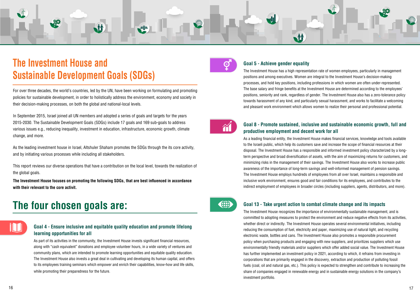# <span id="page-8-0"></span>**The Investment House and Sustainable Development Goals (SDGs)**

For over three decades, the world's countries, led by the UN, have been working on formulating and promoting policies for sustainable development, in order to holistically address the environment, economy and society in their decision-making processes, on both the global and national-local levels.

M

In September 2015, Israel joined all UN members and adopted a series of goals and targets for the years 2015-2030. The Sustainable Development Goals (SDGs) include 17 goals and 169 sub-goals to address various issues e.g., reducing inequality, investment in education, infrastructure, economic growth, climate change, and more.

As the leading investment house in Israel, Altshuler Shaham promotes the SDGs through the its core activity, and by initiating various processes while including all stakeholders.

This report reviews our diverse operations that have a contribution on the local level, towards the realization of the global goals.

**The Investment House focuses on promoting the following SDGs, that are best influenced in accordance** with their relevant to the core activit.

# **The four chosen goals are:**

#### **Goal 4 - Ensure inclusive and equitable quality education and promote lifelong** *learning opportunities for all*

As part of its activities in the community, the Investment House invests significant financial resources, along with "cash equivalent" donations and employee volunteer hours, in a wide variety of ventures and community plans, which are intended to promote learning opportunities and equitable quality education. The Investment House also invests a great deal in cultivating and developing its human capital, and offers to its employees training seminars which empower and enrich their capabilities, know-how and life skills, while promoting their preparedness for the future.



#### **Goal 5 - Achieve gender equality**

**M** 

The Investment House has a high representation rate of women employees, particularly in management positions and among executives. Women are integral to the Investment House's decision-making processes, and hold key positions, including professions in which women are often under-represented. The base salary and fringe benefits at the Investment House are determined according to the employees' positions, seniority and rank, regardless of gender. The Investment House also has a zero-tolerance policy towards harassment of any kind, and particularly sexual harassment, and works to facilitate a welcoming and pleasant work environment which allows women to realize their personal and professional potential.



#### **Goal 8 - Promote sustained, inclusive and sustainable economic growth, full and productive employment and decent work for all**

As a leading financial entity, the Investment House makes financial services, knowledge and tools available to the Israeli public, which help its customers save and increase the scope of financial resources at their term perspective and broad diversification of assets, with the aim of maximizing returns for customers, and disposal. The Investment House has a responsible and informed investment policy characterized by a longminimizing risks in the management of their savings. The Investment House also works to increase public awareness of the importance of long-term savings and well-informed management of pension savings. The Investment House employs hundreds of employees from all over Israel, maintains a responsible and inclusive work environment, ensures good and fair conditions for its employees, and contributes to the indirect employment of employees in broader circles (including suppliers, agents, distributors, and more).



#### **Goal 13 - Take urgent action to combat climate change and its impacts**

The Investment House recognizes the importance of environmentally sustainable management, and is committed to adopting measures to protect the environment and reduce negative effects from its activities, whether direct or indirectly. The Investment House operates several environmental initiatives, including reducing the consumption of fuel, electricity and paper, maximizing use of natural light, and recycling electronic waste, bottles and cans. The Investment House also promotes a responsible procurement policy when purchasing products and engaging with new suppliers, and prioritizes suppliers which use environmentally friendly materials and/or suppliers which offer added social value. The Investment House has further implemented an investment policy in 2021, according to which, it refrains from investing in corporations that are primarily engaged in the discovery, extraction and production of polluting fossil fuels (coal, oil and natural gas, etc.). This policy is expected to strengthen and contribute to increasing the share of companies engaged in renewable energy and in sustainable energy solutions in the company's investment portfolio.

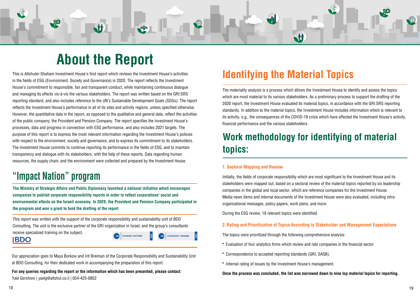# **About the Report**

M

<span id="page-9-0"></span>This is Altshuler-Shaham Investment House's first report which reviews the Investment House's activities in the fields of ESG (Environment, Society and Governance) in 2020. The report reflects the Investment House's commitment to responsible, fair and transparent conduct, while maintaining continuous dialogue and managing its effects vis-à-vis the various stakeholders. The report was written based on the GRI:SRS reporting standard, and also includes reference to the UN's Sustainable Development Goals (SDGs). The report reflects the Investment House's performance in all of its sites and activity regions, unless specified otherwise. However, the quantitative data in the report, as opposed to the qualitative and general data, reflect the activities of the public company; the Provident and Pension Company. The report specifies the Investment House's processes, data and progress in connection with ESG performance, and also includes 2021 targets. The purpose of this report is to express the most relevant information regarding the Investment House's policies with respect to the environment, society and governance, and to express its commitment to its stakeholders. The Investment House commits to continue reporting its performance in the fields of ESG, and to maintain transparency and dialogue with its stakeholders, with the help of these reports. Data regarding human resources, the supply chain, and the environment were collected and prepared by the Investment House.

# "Impact Nation" program

**The Ministry of Strategic Affairs and Public Diplomacy launched a national initiative which encourages** companies to publish corporate responsibility reports in order to reflect corporations' social and **environmental effects on the Israeli economy. In 2020, the Provident and Pension Company participated in** the program and won a grant to fund the drafting of the report

This report was written with the support of the corporate responsibility and sustainability unit of BDO Consulting. The unit is the exclusive partner of the GRI organization in Israel, and the group's consultants receive specialized training on the subject.

### **IBDO**



Our appreciation goes to Maya Borkow and Irit Breiman of the Corporate Responsibility and Sustainability Unit at BDO Consulting, for their dedicated work in accompanying the preparation of this report.

For any queries regarding the report or the information which has been presented, please contact: Yael Gershoni | yaelg@altshul.co.il | 054-425-0852

# **Identifying the Material Topics**

M

The materiality analysis is a process which allows the Investment House to identify and assess the topics which are most material to its various stakeholders. As a preliminary process to support the drafting of the 2020 report, the Investment House evaluated its material topics, in accordance with the GRI:SRS reporting standards. In addition to the material topics, the Investment House includes information which is relevant to its activity, e.g., the consequences of the COVID-19 crisis which have affected the Investment House's activity, financial performance and the various stakeholders.

# **Work methodology for identifying of material :topics**

#### **1. Sectoral Mapping and Review**

Initially, the fields of corporate responsibility which are most significant to the Investment House and its stakeholders were mapped out, based on a sectoral review of the material topics reported by six leadership companies in the global and local sector, which are reference companies for the Investment House. Media news items and internal documents of the Investment House were also evaluated, including intra-<br>organizational messages, policy papers, work plans, and more.

During the ESG review, 18 relevant topics were identified.

#### **2. Rating and Prioritization of Topics According to Stakeholder and Management Expectations**

The topics were prioritized through the following comprehensive analysis:

- Evaluation of four analytics firms which review and rate companies in the financial sector
- Correspondence to accepted reporting standards (GRI, SASB).
- Internal rating of issues by the Investment House's management.

**Once the process was concluded, the list was narrowed down to nine top material topics for reporting.** 



- 
- 
-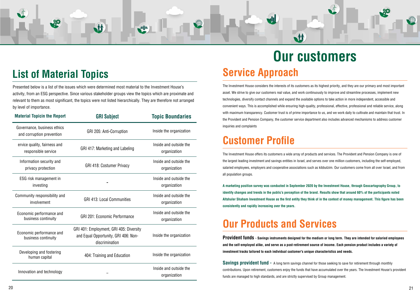<span id="page-10-0"></span>

Presented below is a list of the issues which were determined most material to the Investment House's activity, from an ESG perspective. Since various stakeholder groups view the topics which are proximate and relevant to them as most significant, the topics were not listed hierarchically. They are therefore not arranged by level of importance.

M

| <b>Material Topicin the Report</b>                       | <b>GRI Subject</b>                                                                                | <b>Topic Boundaries</b>                |  |
|----------------------------------------------------------|---------------------------------------------------------------------------------------------------|----------------------------------------|--|
| Governance, business ethics<br>and corruption prevention | GRI 205: Anti-Corruption                                                                          | Inside the organization                |  |
| ervice quality, fairness and<br>responsible service      | GRI 417: Marketing and Labeling                                                                   | Inside and outside the<br>organization |  |
| Information security and<br>privacy protection           | <b>GRI 418: Costumer Privacy</b>                                                                  |                                        |  |
| ESG risk management in<br>investing                      |                                                                                                   | Inside and outside the<br>organization |  |
| Community responsibility and<br>involvement              | <b>GRI 413: Local Communities</b>                                                                 | Inside and outside the<br>organization |  |
| Economic performance and<br>business continuity          | <b>GRI 201: Economic Performance</b>                                                              | Inside and outside the<br>organization |  |
| Economic performance and<br>business continuity          | GRI 401: Employment, GRI 405: Diversity<br>and Equal Opportunity, GRI 406: Non-<br>discrimination | Inside the organization                |  |
| Developing and fostering<br>human capital                | 404: Training and Education                                                                       | Inside the organization                |  |
| Innovation and technology                                |                                                                                                   | Inside and outside the<br>organization |  |

# **Our** customers **Service Approach**

The Investment House considers the interests of its customers as its highest priority, and they are our primary and most important asset. We strive to give our customers real value, and work continuously to improve and streamline processes, implement new technologies, diversify contact channels and expand the available options to take action in more independent, accessible and convenient ways. This is accomplished while ensuring high-quality, professional, effective, professional and reliable service, along with maximum transparency. Customer trust is of prime importance to us, and we work daily to cultivate and maintain that trust. In the Provident and Pension Company, the customer service department also includes advanced mechanisms to address customer inquiries and complaints

**M** 

# **Customer Profile**

The Investment House offers its customers a wide array of products and services. The Provident and Pension Company is one of the largest leading investment and savings entities in Israel, and serves over one million customers, including the self-emploved, salaried employees, employers and cooperative associations such as kibbutzim. Our customers come from all over Israel, and from all population groups.

A marketing position survey was conducted in September 2020 by the Investment House, through Geocartography Group, to **identify changes and trends in the public's perception of the brand. Results show that around 60% of the participants noted** Altshuler Shaham Investment House as the first entity they think of in the context of money management. This figure has been consistently and rapidly increasing over the years.

# **Our Products and Services**

**Provident funds** - Savings instruments designed for the medium or long term. They are intended for salaried employees and the self-employed alike, and serve as a post-retirement source of income. Each pension product includes a variety of investment tracks tailored to each individual customer's unique characteristics and needs.

**Savings provident fund -** A long term savings channel for those seeking to save for retirement through monthly contributions. Upon retirement, customers enjoy the funds that have accumulated over the years. The Investment House's provident funds are managed to high standards, and are strictly supervised by Group management.

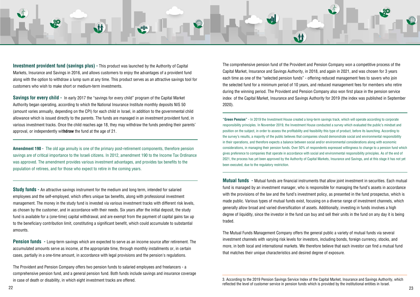<span id="page-11-0"></span>

**Investment provident fund (savings plus) -** This product was launched by the Authority of Capital Markets, Insurance and Savings in 2016, and allows customers to enjoy the advantages of a provident fund along with the option to withdraw a lump sum at any time. This product serves as an attractive savings tool for customers who wish to make short or medium-term investments.

**Savings for every child -** In early 2017 the "savings for every child" program of the Capital Market Authority began operating, according to which the National Insurance Institute monthly deposits NIS 50 (amount varies annually, depending on the CPI) for each child in Israel, in addition to the governmental child allowance which is issued directly to the parents. The funds are managed in an investment provident fund, in various investment tracks. Once the child reaches age 18, they may withdraw the funds pending their parents' approval, or independently withdraw the fund at the age of 21.

**Amendment 190 -** The old age annuity is one of the primary post-retirement components, therefore pension savings are of critical importance to the Israeli citizens. In 2012, amendment 190 to the Income Tax Ordinance was approved. The amendment provides various investment advantages, and provides tax benefits to the population of retirees, and for those who expect to retire in the coming years.

**Study funds -** An attractive savings instrument for the medium and long term, intended for salaried employees and the self-employed, which offers unique tax benefits, along with professional investment management. The money in the study fund is invested via various investment tracks with different risk levels, as chosen by the customer, and in accordance with their needs. Six years after the initial deposit, the study fund is available for a (one-time) capital withdrawal, and are exempt from the payment of capital gains tax up to the beneficiary contribution limit, constituting a significant benefit, which could accumulate to substantial .amounts

**Pension funds** - Long-term savings which are expected to serve as an income source after retirement. The accumulated amounts serve as income, at the appropriate time, through monthly installments or, in certain . cases, partially in a one-time amount, in accordance with legal provisions and the pension's regulations.

The Provident and Pension Company offers two pension funds to salaried employees and freelancers - a comprehensive pension fund, and a general pension fund. Both funds include savings and insurance coverage in case of death or disability, in which eight investment tracks are offered.

The comprehensive pension fund of the Provident and Pension Company won a competitive process of the Capital Market, Insurance and Savings Authority, in 2018, and again in 2021, and was chosen for 3 years each time as one of the "selected pension funds" - offering reduced management fees to savers who join the selected fund for a minimum period of 10 years, and reduced management fees for members who retire during the winning period. The Provident and Pension Company also won first place in the pension service index of the Capital Market, Insurance and Savings Authority for 2019 (the index was published in September  $2020$ ).

**"Green Pension"** - In 2019 the Investment House created a long-term savings track, which will operate according to corporate responsibility principles. In November 2019, the Investment House conducted a survey which evaluated the public's mindset and position on the subject, in order to assess the profitability and feasibility this type of product, before its launching. According to the survey's results, a majority of the public believes that companies should demonstrate social and environmental responsibility in their operations, and therefore expects a balance between social and/or environmental considerations along with economic considerations, in managing their pension funds. Over 50% of respondents expressed willingness to change to a pension fund which gives preference to companies that operate in accordance with social and environmental responsibility principles. As of the end of 2021, the process has yet been approved by the Authority of Capital Markets, Insurance and Savings, and at this stage it has not yet been executed, due to the regulatory restriction.

**Mutual funds** - Mutual funds are financial instruments that allow joint investment in securities. Each mutual fund is managed by an investment manager, who is responsible for managing the fund's assets in accordance with the provisions of the law and the fund's investment policy, as presented in the fund prospectus, which is made public. Various types of mutual funds exist, focusing on a diverse range of investment channels, which generally allow broad and varied diversification of assets. Additionally, investing in funds involves a high degree of liquidity, since the investor in the fund can buy and sell their units in the fund on any day it is being traded.

The Mutual Funds Management Company offers the general public a variety of mutual funds via several investment channels with varying risk levels for investors, including bonds, foreign currency, stocks, and more, in both local and international markets. We therefore believe that each investor can find a mutual fund that matches their unique characteristics and desired degree of exposure.

23 22

<sup>3.</sup> According to the 2019 Pension Savings Service Index of the Capital Market, Insurance and Savings Authority, which reflected the level of customer service in pension funds which is provided by the institutional entities in Israel.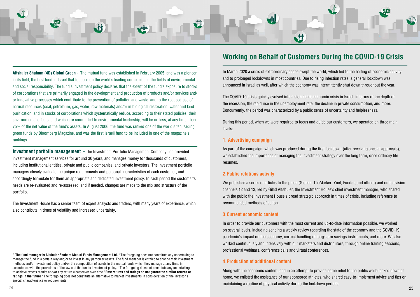

**Investment portfolio management - The Investment Portfolio Management Company has provided** investment management services for around 30 years, and manages money for thousands of customers, including institutional entities, private and public companies, and private investors. The investment portfolio managers closely evaluate the unique requirements and personal characteristics of each customer, and accordingly formulate for them an appropriate and dedicated investment policy. In each period the customer's needs are re-evaluated and re-assessed, and if needed, changes are made to the mix and structure of the .portfolio

The Investment House has a senior team of expert analysts and traders, with many years of experience, which also contribute in times of volatility and increased uncertainty.

\* The fund manager is Altshuler Shaham Mutual Funds Management Ltd. \*The foregoing does not constitute any undertaking to manage the fund in a certain way and/or to invest in any particular assets. The fund manager is entitled to change their investment methods and/or investment policy and/or the composition of assets in the mutual funds which they manage at any time, in accordance with the provisions of the law and the fund's investment policy. \*The foregoing does not constitute any undertaking to achieve excess results and/or any return whatsoever over time \*Past returns and ratings do not guarantee similar returns or ratings in the future \*The foregoing does not constitute an alternative to market investments in consideration of the investor's special characteristics or requirements.

### **Working on Behalf of Customers During the COVID-19 Crisis**

**M** 

In March 2020 a crisis of extraordinary scope swept the world, which led to the halting of economic activity, and to prolonged lockdowns in most countries. Due to rising infection rates, a general lockdown was announced in Israel as well, after which the economy was intermittently shut down throughout the year.

The COVID-19 crisis quickly evolved into a significant economic crisis in Israel, in terms of the depth of the recession, the rapid rise in the unemployment rate, the decline in private consumption, and more, Concurrently, the period was characterized by a public sense of uncertainty and helplessness.

During this period, when we were required to focus and quide our customers, we operated on three main levels:

#### **1. Advertising campaign**

As part of the campaign, which was produced during the first lockdown (after receiving special approvals), we established the importance of managing the investment strategy over the long term, once ordinary life .resumes

#### **2. Public relations activity**

We published a series of articles to the press (Globes, TheMarker, Ynet, Funder, and others) and on television channels 12 and 13, led by Gilad Altshuler, the Investment House's chief investment manager, who shared with the public the Investment House's broad strategic approach in times of crisis, including reference to recommended methods of action

#### **3. Current economic content**

In order to provide our customers with the most current and up-to-date information possible, we worked on several levels, including sending a weekly review regarding the state of the economy and the COVID-19 pandemic's impact on the economy, correct handling of long-term savings instruments, and more. We also worked continuously and intensively with our marketers and distributors, through online training sessions, professional webinars, conference calls and virtual conferences.

#### **4. Production of additional content**

Along with the economic content, and in an attempt to provide some relief to the public while locked down at home, we enlisted the assistance of our sponsored athletes, who shared easy-to-implement advice and tips on maintaining a routine of physical activity during the lockdown periods.<br>24

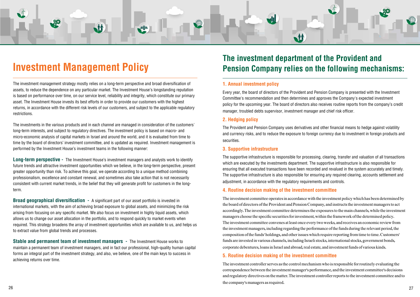# **Investment Management Policy**

The investment management strategy mostly relies on a long-term perspective and broad diversification of assets, to reduce the dependence on any particular market. The Investment House's longstanding reputation is based on performance over time, on our service level, reliability and integrity, which constitute our primary asset. The Investment House invests its best efforts in order to provide our customers with the highest returns, in accordance with the different risk levels of our customers, and subiect to the applicable requiatory .restrictions

The investments in the various products and in each channel are managed in consideration of the customers' long-term interests, and subject to regulatory directives. The investment policy is based on macro- and micro-economic analysis of capital markets in Israel and around the world, and it is evaluated from time to time by the board of directors' investment committee, and is updated as required. Investment management is performed by the Investment House's investment teams in the following manner:

**Long-term perspective -** The Investment House's investment managers and analysts work to identify future trends and attractive investment opportunities which we believe, in the long-term perspective, present areater opportunity than risk. To achieve this goal, we operate according to a unique method combining professionalism, excellence and constant renewal, and sometimes also take action that is not necessarily consistent with current market trends, in the belief that they will generate profit for customers in the long-<br>term.

**Broad geographical diversification -** A significant part of our asset portfolio is invested in international markets, with the aim of achieving broad exposure to global assets, and minimizing the risk arising from focusing on any specific market. We also focus on investment in highly liquid assets, which allows us to change our asset allocation in the portfolio, and to respond quickly to market events when required. This strategy broadens the array of investment opportunities which are available to us, and helps us to extract value from global trends and processes.

**Stable and permanent team of investment managers -** The Investment House works to maintain a permanent team of investment managers, and in fact our professional, high-quality human capital forms an integral part of the investment strategy, and also, we believe, one of the main keys to success in achieving returns over time.

### The investment department of the Provident and **Pension Company relies on the following mechanisms:**

M

#### **1. Annual investment policy**

Every year, the board of directors of the Provident and Pension Company is presented with the Investment Committee's recommendation and then determines and approves the Company's expected investment policy for the upcoming year. The board of directors also receives routine reports from the company's credit .officer manager, troubled debts supervisor, investment manager and chief risk officer.

The Provident and Pension Company uses derivatives and other financial means to hedge against volatility and currency risks, and to reduce the exposure to foreign currency due to investment in foreign products and .securities

#### **3. Supportive infrastructure**

The supportive infrastructure is responsible for processing, clearing, transfer and valuation of all transactions which are executed by the investments department. The supportive infrastructure is also responsible for ensuring that all executed transactions have been recorded and revalued in the system accurately and timely. The supportive infrastructure is also responsible for ensuring any required clearing, accounts settlement and adiustment, in accordance with the regulatory requirements and controls.

#### **4. Routine decision making of the investment committee**

The investment committee operates in accordance with the investment policy which has been determined by the board of directors of the Provident and Pension Company, and instructs the investment managers to act accordingly. The investment committee determines the exposures to the main channels, while the investment managers choose the specific securities for investment, within the framework of the determined policy. The investment committee convenes at least once every two weeks, and receives an economic review from the investment managers, including regarding the performance of the funds during the relevant period, the composition of the funds' holdings, and other issues which require reporting from time to time. Customers' funds are invested in various channels, including Israeli stocks, international stocks, government bonds, corporate debentures, loans in Israel and abroad, real estate, and investment funds of various kinds.

#### **5. Routine decision making of the investment committee**

The investment controller serves as the control mechanism who is responsible for routinely evaluating the correspondence between the investment manager's performance, and the investment committee's decisions and regulatory directives on the matter. The investment controller reports to the investment committee and to the company's managers as required.



#### **policy Hedging 2.**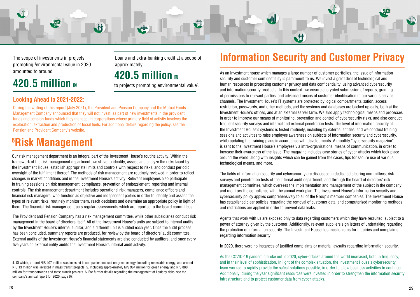<span id="page-14-0"></span>

The scope of investments in projects promoting <sup>4</sup>environmental value in 2020 **amounted to around 420.5 million** and

# **420.5 million a**

# approximately

Loans and extra-banking credit at a scope of

to projects promoting environmental value<sup>5</sup>.

### **Looking Ahead to 2021-2022:**

During the writing of this report (July 2021), the Provident and Pension Company and the Mutual Funds Management Company announced that they will not invest, as part of new investments in the provident funds and pension funds which they manage, in corporations whose primary field of activity involves the exploration, extraction and production of fossil fuels. For additional details regarding the policy, see the Pension and Provident Company's website.

# **<sup>6</sup>Risk Management**

Our risk management department is an integral part of the Investment House's routine activity. Within the framework of the risk management department, we strive to identify, assess and analyze the risks faced by the Investment House, establish appropriate limits and controls with respect to risks, and conduct periodic oversight of the fulfillment thereof. The methods of risk management are routinely reviewed in order to reflect changes in market conditions and in the Investment House's activity. Relevant employees also participate in training sessions on risk management, compliance, prevention of embezzlement, reporting and internal controls. The risk management department includes operational risk managers, compliance officers and tinancial risk managers, who function as objective and independent parties in order to identify and assess the types of relevant risks, routinely monitor them, reach decisions and determine an appropriate policy in light of them. The financial risk manager conducts regular assessments which are reported to the board committees.

The Provident and Pension Company has a risk management committee, while other subsidiaries conduct risk management in the board of directors itself. All of the Investment House's units are subiect to internal audits by the Investment House's internal auditor, and a different unit is audited each year. Once the audit process has been concluded, summary reports are produced, for review by the board of directors' audit committee. External audits of the Investment House's financial statements are also conducted by auditors, and once every five years an external entity audits the Investment House's internal audit activity.

# **Information Security and Customer Privacy**

As an investment house which manages a large number of customer portfolios, the issue of information security and customer confidentiality is paramount to us. We invest a great deal of technological and human resources in protecting customer privacy and data confidentiality, using advanced cybersecurity and information security products. In this context, we ensure encrypted submission of reports, granting of permissions to relevant parties, and advanced means of customer identification in our various service channels. The Investment House's IT systems are protected by logical compartmentalization, access restriction, passwords, and other methods, and the systems and databases are backed up daily, both at the Investment House's offices, and at an external server farm. We also apply technological means and processes in order to improve our means of monitoring, prevention and control of cybersecurity risks, and also conduct frequent security surveys and internal and external penetration tests. The level of information security at the Investment House's systems is tested routinely, including by external entities, and we conduct training sessions and activities to raise employee awareness on subjects of information security and cybersecurity, while updating the training plans in accordance with developments. A monthly "cybersecurity magazine" is sent to the Investment House's employees via intra-organizational means of communication, in order to increase their awareness of the issue. The magazine includes case stories of cyber-attacks which took place around the world, along with insights which can be gained from the cases, tips for secure use of various technological means, and more.

The fields of information security and cybersecurity are discussed in dedicated steering committees, risk surveys and penetration tests of the internal audit department, and through the board of directors' risk management committee, which oversees the implementation and management of the subject in the company. and monitors the compliance with the annual work plan. The Investment House's information security and cybersecurity policy applies comprehensively to all of the Group's member companies. The Investment House has established clear policies regarding the removal of customer data, and computerized monitoring methods and restrictions are applied in order to prevent data leaks.

Agents that work with us are exposed only to data regarding customers which they have recruited, subject to a power of attorney given by the customer. Additionally, relevant suppliers sign letters of undertaking regarding the protection of information security. The Investment House has mechanisms for inquiries and complaints regarding information security.

. In 2020, there were no instances of iustified complaints or material lawsuits regarding information security,

As the COVID-19 pandemic broke out in 2020, cyber-attacks around the world increased, both in frequency, and in their level of sophistication. In light of the complex situation, the Investment House's cybersecurity team worked to rapidly provide the safest solutions possible, in order to allow business activities to continue. Additionally, during the year significant resources were invested in order to strengthen the information security infrastructure and to protect customer data from cyber-attacks.

<sup>4.</sup> Of which, around NIS 407 million was invested in companies focused on green energy, including renewable energy, and around NIS 13 million was invested in mass transit projects. 5. Including approximately NIS 964 million for green energy and NIS 880 million for transportation and mass transit projects. 6. For further details regarding the management of liquidity risks, see the company's annual report for 2020, page 67.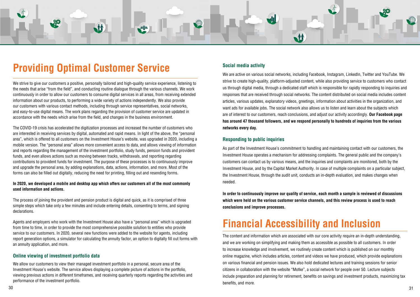<span id="page-15-0"></span>

# **Providing Optimal Customer Service** Social media activity

We strive to give our customers a positive, personally tailored and high-quality service experience, listening to the needs that arise "from the field", and conducting routine dialogue through the various channels. We work continuously in order to allow our customers to consume digital services in all areas, from receiving extended information about our products, to performing a wide variety of actions independently. We also provide our customers with various contact methods, including through service representatives, social networks, and easy-to-use digital means. The work plans regarding the provision of customer service are updated in accordance with the needs which arise from the field, and changes in the business environment.

The COVID-19 crisis has accelerated the digitization processes and increased the number of customers who are interested in receiving services by digital, automated and rapid means. In light of the above, the "personal area", which is offered to all customers on the Investment House's website, was upgraded in 2020, including a mobile version. The "personal area" allows more convenient access to data, and allows viewing of information and reports regarding the management of the investment portfolio, study funds, pension funds and provident funds, and even allows actions such as moving between tracks, withdrawals, and reporting regarding contributions to provident funds for investment. The purpose of these processes is to continuously improve and upgrade the personal area, by adding explanations, data, actions, information, and more. Most of the forms can also be filled out digitally, reducing the need for printing, filling out and resending forms.

#### In 2020, we developed a mobile and desktop app which offers our customers all of the most commonly **used** information and actions.

As part of the Investment House's commitment to handling and maintaining contact with our customers, the Investment House operates a mechanism for addressing complaints. The general public and the company's customers can contact us by various means, and the inquiries and complaints are monitored, both by the Investment House, and by the Capital Market Authority. In case of multiple complaints on a particular subject, the Investment House, through the audit unit, conducts an in-depth evaluation, and makes changes when .needed

In order to continuously improve our quality of service, each month a sample is reviewed of discussions which were held on the various customer service channels, and this review process is used to reach conclusions and improve processes.

# **Financial Accessibility and Inclusion**

The content and information which are associated with our core activity require an in-depth understanding, and we are working on simplifying and making them as accessible as possible to all customers. In order to increase knowledge and involvement, we routinely create content which is published on our monthly online magazine, which includes articles, content and videos we have produced, which provide explanations on various financial and pension issues. We also hold dedicated lectures and training sessions for senior citizens in collaboration with the website "Motke", a social network for people over 50. Lecture subjects include preparation and planning for retirement, benefits on savings and investment products, maximizing tax benefits, and more.

The process of joining the provident and pension product is digital and quick, as it is comprised of three simple steps which take only a few minutes and include entering details, consenting to terms, and signing .declarations

Agents and employers who work with the Investment House also have a "personal area" which is upgraded from time to time, in order to provide the most comprehensive possible solution to entities who provide service to our customers. In 2020, several new functions were added to the website for agents, including report generation options, a simulator for calculating the annuity factor, an option to digitally fill out forms with an annuity application, and more.

#### **Online viewing of investment portfolio data**

We allow our customers to view their managed investment portfolio in a personal, secure area of the Investment House's website. The service allows displaying a complete picture of actions in the portfolio. viewing previous actions in different timeframes, and receiving quarterly reports regarding the activities and performance of the investment portfolio.

We are active on various social networks, including Facebook, Instagram, LinkedIn, Twitter and YouTube. We strive to create high-quality, platform-adjusted content, while also providing service to customers who contact us through digital media, through a dedicated staff which is responsible for rapidly responding to inguiries and responses that are received through social networks. The content distributed on social media includes content articles, various updates, explanatory videos, greetings, information about activities in the organization, and want ads for available jobs. The social network also allows us to listen and learn about the subjects which are of interest to our customers, reach conclusions, and adjust our activity accordingly. **Our Facebook page** has around 47 thousand followers, and we respond personally to hundreds of inquiries from the various **networks** every day.

#### **Responding to public inquiries**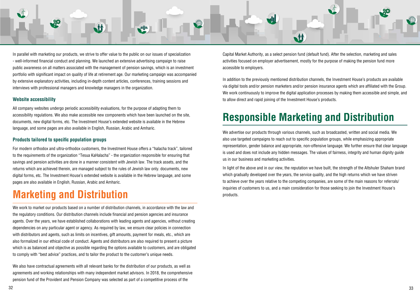<span id="page-16-0"></span>

In parallel with marketing our products, we strive to offer value to the public on our issues of specialization - well-informed financial conduct and planning. We launched an extensive advertising campaign to raise public awareness on all matters associated with the management of pension savings, which is an investment portfolio with significant impact on quality of life at retirement age. Our marketing campaign was accompanied by extensive explanatory activities, including in-depth content articles, conferences, training sessions and interviews with professional managers and knowledge managers in the organization.

#### **Website accessibility**

All company websites undergo periodic accessibility evaluations, for the purpose of adapting them to accessibility regulations. We also make accessible new components which have been launched on the site, documents, new digital forms, etc. The Investment House's extended website is available in the Hebrew language, and some pages are also available in English, Russian, Arabic and Amharic.

#### **Products tailored to specific population groups**

For modern orthodox and ultra-orthodox customers, the Investment House offers a "halacha track", tailored to the requirements of the organization "Tesua KaHalacha" - the organization responsible for ensuring that savings and pension activities are done in a manner consistent with Jewish law. The track assets, and the returns which are achieved therein, are managed subject to the rules of Jewish law only, documents, new digital forms, etc. The Investment House's extended website is available in the Hebrew language, and some pages are also available in English, Russian, Arabic and Amharic.

## **Marketing and Distribution**

We work to market our products based on a number of distribution channels, in accordance with the law and the regulatory conditions. Our distribution channels include financial and pension agencies and insurance agents. Over the years, we have established collaborations with leading agents and agencies, without creating dependencies on any particular agent or agency. As required by law, we ensure clear policies in connection with distributors and agents, such as limits on incentives, gift amounts, payment for meals, etc., which are also formalized in our ethical code of conduct. Agents and distributors are also required to present a picture which is as balanced and objective as possible regarding the options available to customers, and are obligated to comply with "best advice" practices, and to tailor the product to the customer's unique needs.

We also have contractual agreements with all relevant banks for the distribution of our products, as well as agreements and working relationships with many independent market advisors. In 2018, the comprehensive pension fund of the Provident and Pension Company was selected as part of a competitive process of the

Capital Market Authority, as a select pension fund (default fund). After the selection, marketing and sales activities focused on employer advertisement, mostly for the purpose of making the pension fund more accessible to employers.

In addition to the previously mentioned distribution channels, the Investment House's products are available via digital tools and/or pension marketers and/or pension insurance agents which are affiliated with the Group. We work continuously to improve the digital application processes by making them accessible and simple, and to allow direct and rapid joining of the Investment House's products.

# **Responsible Marketing and Distribution**

We advertise our products through various channels, such as broadcasted, written and social media. We also use targeted campaigns to reach out to specific population groups, while emphasizing appropriate representation, gender balance and appropriate, non-offensive language. We further ensure that clear language is used and does not include any hidden messages. The values of fairness, integrity and human dignity quide us in our business and marketing activities.

In light of the above and in our view, the reputation we have built, the strength of the Altshuler Shaham brand which gradually developed over the years, the service quality, and the high returns which we have striven to achieve over the years relative to the competing companies, are some of the main reasons for referrals/ inguiries of customers to us, and a main consideration for those seeking to ioin the Investment House's .products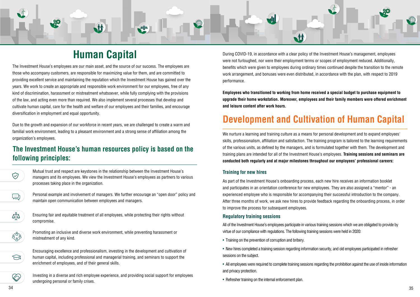<span id="page-17-0"></span>

# **Capital Human**

The Investment House's employees are our main asset, and the source of our success. The employees are those who accompany customers, are responsible for maximizing value for them, and are committed to providing excellent service and maintaining the reputation which the Investment House has gained over the years. We work to create an appropriate and responsible work environment for our employees, free of any kind of discrimination, harassment or mistreatment whatsoever, while fully complying with the provisions of the law, and acting even more than required. We also implement several processes that develop and cultivate human capital, care for the health and welfare of our employees and their families, and encourage diversification in employment and equal opportunity.

Due to the growth and expansion of our workforce in recent years, we are challenged to create a warm and familial work environment, leading to a pleasant environment and a strong sense of affiliation among the organization's employees.

### **The Investment House's human resources policy is based on the** following principles:



Mutual trust and respect are keystones in the relationship between the Investment House's managers and its employees. We view the Investment House's employees as partners to various processes taking place in the organization.



Personal example and involvement of managers. We further encourage an "open door" policy and maintain open communication between employees and managers.



During COVID-19, in accordance with a clear policy of the Investment House's management, employees were not furloughed, nor were their employment terms or scopes of employment reduced. Additionally, benefits which were given to employees during ordinary times continued despite the transition to the remote work arrangement, and bonuses were even distributed, in accordance with the plan, with respect to 2019 .performance

**Employees who transitioned to working from home received a special budget to purchase equipment to upgrade their home workstation. Moreover, employees and their family members were offered enrichment** and leisure content after work hours.

# **Development and Cultivation of Human Capital**

We nurture a learning and training culture as a means for personal development and to expand employees' skills, professionalism, affiliation and satisfaction. The training program is tailored to the learning requirements of the various units, as defined by the managers, and is formulated together with them. The development and training plans are intended for all of the Investment House's employees. **Training sessions and seminars are** conducted both regularly and at major milestones throughout our employees' professional careers:

#### **Training for new hires**

As part of the Investment House's onboarding process, each new hire receives an information booklet and participates in an orientation conference for new employees. They are also assigned a "mentor" - an experienced employee who is responsible for accompanying their successful introduction to the company. After three months of work, we ask new hires to provide feedback regarding the onboarding process, in order to improve the process for subsequent employees.

#### **Regulatory training sessions**

All of the Investment House's employees participate in various training sessions which we are obligated to provide by virtue of our compliance with regulations. The following training sessions were held in 2020:

- Training on the prevention of corruption and bribery.
- New hires completed a training session regarding information security, and old employees participated in refresher sessions on the subject.
- All employees were required to complete training sessions regarding the prohibition against the use of inside information and privacy protection.
- Refresher training on the internal enforcement plan.

Ensuring fair and equitable treatment of all employees, while protecting their rights without .compromise



Promoting an inclusive and diverse work environment, while preventing harassment or mistreatment of any kind.



B

Encouraging excellence and professionalism, investing in the development and cultivation of human capital, including professional and managerial training, and seminars to support the enrichment of employees, and of their general skills.

Investing in a diverse and rich employee experience, and providing social support for employees undergoing personal or family crises.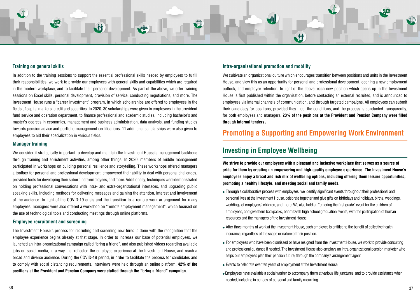<span id="page-18-0"></span>

#### **Training on general skills**

In addition to the training sessions to support the essential professional skills needed by employees to fulfill their responsibilities, we work to provide our employees with general skills and capabilities which are required in the modern workplace, and to facilitate their personal development. As part of the above, we offer training sessions on Excel skills, personal development, provision of service, conducting negotiations, and more. The Investment House runs a "career investment" program, in which scholarships are offered to employees in the fields of capital markets, credit and securities. In 2020, 30 scholarships were given to employees in the provident fund service and operation department, to finance professional and academic studies, including bachelor's and master's degrees in economics, management and business administration, data analysis, and funding studies towards pension advice and portfolio management certifications. 11 additional scholarships were also given to employees to aid their specialization in various fields.

#### **Manager** training

We consider it strategically important to develop and maintain the Investment House's management backbone through training and enrichment activities, among other things. In 2020, members of middle management participated in workshops on building personal resilience and storytelling. These workshops offered managers a toolbox for personal and professional development, empowered their ability to deal with personal challenges, provided tools for developing their subordinate employees, and more. Additionally, techniques were demonstrated on holding professional conversations with intra- and extra-organizational interfaces, and upgrading public speaking skills, including methods for delivering messages and gaining the attention, interest and involvement of the audience. In light of the COVID-19 crisis and the transition to a remote work arrangement for many employees, managers were also offered a workshop on "remote employment management", which focused on the use of technological tools and conducting meetings through online platforms.

#### **Employee recruitment and screening**

The Investment House's process for recruiting and screening new hires is done with the recognition that the employee experience begins already at that stage. In order to increase our base of potential employees, we launched an intra-organizational campaign called "bring a friend", and also published videos regarding available jobs on social media, in a way that reflected the employee experience at the Investment House, and reach a broad and diverse audience. During the COVID-19 period, in order to facilitate the process for candidates and to comply with social distancing requirements, interviews were held through an online platform. **42% of the** positions at the Provident and Pension Company were staffed through the "bring a friend" campaign.

#### **Intra-organizational promotion and mobility**

We cultivate an organizational culture which encourages transition between positions and units in the Investment House, and view this as an opportunity for personal and professional development, opening a new employment outlook, and employee retention. In light of the above, each new position which opens up in the Investment House is first published within the organization, before contacting an external recruited, and is announced to employees via internal channels of communication, and through targeted campaigns. All employees can submit their candidacy for positions, provided they meet the conditions, and the process is conducted transparently, for both employees and managers, 23% of the positions at the Provident and Pension Company were filled **through internal tenders.** 

### **Promoting a Supporting and Empowering Work Environment**

### **Investing in Employee Wellbeing**

We strive to provide our employees with a pleasant and inclusive workplace that serves as a source of pride for them by creating an empowering and high-quality employee experience. The Investment House's **employees enjoy a broad and rich mix of wellbeing options, including offering them leisure opportunities, promoting a healthy lifestyle, and meeting social and family needs.** 

- Through a collaborative process with employees, we identify significant events throughout their professional and personal lives at the Investment House, celebrate together and give gifts on birthdays and holidays, births, weddings, weddings of employees' children, and more. We also hold an "entering the first grade" event for the children of employees, and give them backpacks, bar mitzvah high school graduation events, with the participation of human resources and the managers of the Investment House.
- After three months of work at the Investment House, each employee is entitled to the benefit of collective health insurance, regardless of the scope or nature of their position.
- For employees who have been dismissed or have resigned from the Investment House, we work to provide consulting and professional guidance if needed. The Investment House also employs an intra-organizational pension marketer who helps our employees plan their pension future, through the company's arrangement agent
- Events to celebrate over ten years of employment at the Investment House.
- Employees have available a social worker to accompany them at various life junctures, and to provide assistance when needed, including in periods of personal and family mourning.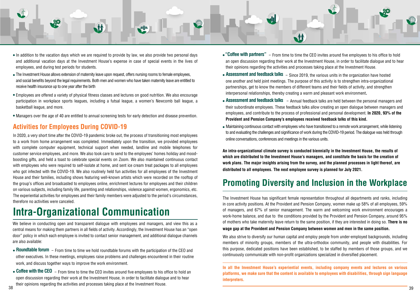<span id="page-19-0"></span>

- In addition to the vacation days which we are required to provide by law, we also provide two personal days and additional vacation davs at the Investment House's expense in case of special events in the lives of employees, and during test periods for students.
- The Investment House allows extension of maternity leave upon request, offers nursing rooms to female employees, and social benefits beyond the legal requirements. Both men and women who have taken maternity leave are entitled to receive health insurance up to one year after the birth
- Employees are offered a variety of physical fitness classes and lectures on good nutrition. We also encourage participation in workplace sports leagues, including a futsal league, a women's Newcomb ball league, a basketball league, and more.
- Managers over the age of 40 are entitled to annual screening tests for early detection and disease prevention.

### **Activities for Employees During COVID-19**

In 2020, a very short time after the COVID-19 pandemic broke out, the process of transitioning most employees to a work from home arrangement was completed. Immediately upon the transition, we provided employees with complete computer equipment, technical support when needed, landline and mobile telephones for boosting gifts, and held a toast to celebrate special events on Zoom. We also maintained continuous contact customer service employees, and more. We also took care to send to the employees' homes holiday and moodwith employees who were required to self-isolate at home, and sent ice cream treat packages to all employees who got infected with the COVID-19. We also routinely held fun activities for all employees of the Investment House and their families, including shows featuring well-known artists which were recorded on the rooftop of the group's offices and broadcasted to employees online, enrichment lectures for employees and their children on various subjects, including family life, parenting and relationships, violence against women, ergonomics, etc. The experiential activities for employees and their family members were adjusted to the period's circumstances. therefore no activities were canceled.

# **Intra-Organizational Communication**

We believe in conducting open and transparent dialogue with employees and managers, and view this as a central means for making them partners in all fields of activity. Accordingly, the Investment House has an "open door" policy in which each employee is invited to contact senior management, and additional dialogue channels are also available:

- Roundtable forum From time to time we hold roundtable forums with the participation of the CEO and other executives. In these meetings, employees raise problems and challenges encountered in their routine work, and discuss together ways to improve the work environment.
- Coffee with the CEO From time to time the CEO invites around five employees to his office to hold an hear discussion regarding their work at the Investment House, in order to facilitate dialogue and to hear their opinions regarding the activities and processes taking place at the Investment House. 38 and the contract of the contract of the contract of the contract of the contract of the contract of the contract of the contract of the contract of the contract of the contract of the contract of the contract of the con
- "Coffee with partners" From time to time the CEO invites around five employees to his office to hold an open discussion regarding their work at the Investment House, in order to facilitate dialogue and to hear their opinions regarding the activities and processes taking place at the Investment House.
- Assessment and feedback talks Since 2019, the various units in the organization have hosted one another and held joint meetings. The purpose of this activity is to strengthen intra-organizational partnerships, get to know the members of different teams and their fields of activity, and strengthen interpersonal relationships, thereby creating a warm and pleasant work environment.
- Assessment and feedback talks Annual feedback talks are held between the personal managers and their subordinate employees. These feedback talks allow creating an open dialogue between managers and **employees, and contribute to the process of professional and personal development. <b>In 2020, 93% of the Provident and Pension Company's employees received feedback talks of this kind.**
- Maintaining continuous contact with employees who have transitioned to a remote work arrangement, while listening to and evaluating the challenges and significance of work during the COVID-19 period. The dialogue was held through online conversations, conferences and meetings in the various units.

An intra-organizational climate survey is conducted biennially in the Investment House, the results of which are distributed to the Investment House's managers, and constitute the basis for the creation of work plans. The major insights arising from the survey, and the planned processes in light thereof, are distributed to all employees. The next employee survey is planned for July 2021.

## **Promoting Diversity and Inclusion in the Workplace**

The Investment House has significant female representation throughout all departments and ranks, including in core activity positions. At the Provident and Pension Company, women make up 58% of all employees, 59% of managers, and 67% of senior management. The warm and welcoming work environment encourages a work-home balance, and due to the conditions provided by the Provident and Pension Company, around 95% of mothers who take maternity leave return to the same position, if they are interested in doing so. **There is no wage gap at the Provident and Pension Company between women and men in the same position.** 

We also strive to diversify our human capital and employ people from under-employed backgrounds, including members of minority groups, members of the ultra-orthodox community, and people with disabilities. For this purpose, dedicated positions have been established, to be staffed by members of those groups, and we continuously communicate with non-profit organizations specialized in diversified placement.

In all the Investment House's experiential events, including company events and lectures on various platforms, we make sure that the content is available to employees with disabilities, through sign language  **.interpreters**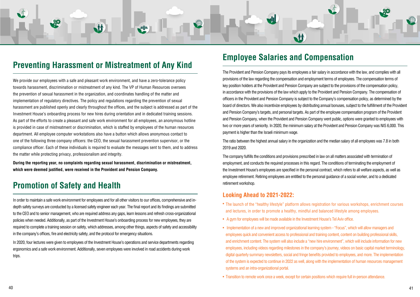# <span id="page-20-0"></span>M **M**

# **Preventing Harassment or Mistreatment of Any Kind Employee Salaries and Compensation**

We provide our employees with a safe and pleasant work environment, and have a zero-tolerance policy towards harassment, discrimination or mistreatment of any kind. The VP of Human Resources oversees the prevention of sexual harassment in the organization, and coordinates handling of the matter and implementation of regulatory directives. The policy and regulations regarding the prevention of sexual harassment are published openly and clearly throughout the offices, and the subject is addressed as part of the Investment House's onboarding process for new hires during orientation and in dedicated training sessions. As part of the efforts to create a pleasant and safe work environment for all employees, an anonymous hotline is provided in case of mistreatment or discrimination, which is staffed by employees of the human resources department. All employee computer workstations also have a button which allows anonymous contact to one of the following three company officers; the CEO, the sexual harassment prevention supervisor, or the compliance officer. Each of these individuals is required to evaluate the messages sent to them, and to address the matter while protecting privacy, professionalism and integrity.

**During the reporting year, no complaints regarding sexual harassment, discrimination or mistreatment,** which were deemed justified, were received in the Provident and Pension Company.

## **Promotion of Safety and Health**

depth safety surveys are conducted by a licensed safety engineer each year. The final report and its findings are submitted In order to maintain a safe work environment for employees and for all other visitors to our offices, comprehensive and into the CEO and to senior management, who are required address any gaps, learn lessons and refresh cross-organizational policies when needed. Additionally, as part of the Investment House's onboarding process for new employees, they are required to complete a training session on safety, which addresses, among other things, aspects of safety and accessibility in the company's offices, fire and electricity safety, and the protocol for emergency situations.

In 2020, four lectures were given to employees of the Investment House's operations and service departments regarding ergonomics and a safe work environment. Additionally, seven employees were involved in road accidents during work trips.

The Provident and Pension Company pays its employees a fair salary in accordance with the law, and complies with all provisions of the law regarding the compensation and employment terms of employees. The compensation terms of key position holders at the Provident and Pension Company are subject to the provisions of the compensation policy, in accordance with the provisions of the law which apply to the Provident and Pension Company. The compensation of officers in the Provident and Pension Company is subject to the Company's compensation policy, as determined by the board of directors. We also incentivize employees by distributing annual bonuses, subject to the fulfillment of the Provident and Pension Company's targets, and personal targets. As part of the employee compensation program of the Provident and Pension Company, when the Provident and Pension Company went public, options were granted to employees with two or more vears of seniority. In 2020, the minimum salary at the Provident and Pension Company was NIS 6,000. This payment is higher than the Israeli minimum wage.

The ratio between the highest annual salary in the organization and the median salary of all employees was 7.8 in both 2019 and 2020.

The company fulfills the conditions and provisions prescribed in law on all matters associated with termination of employment, and conducts the required processes in this regard. The conditions of terminating the employment of the Investment House's employees are specified in the personal contract, which refers to all welfare aspects, as well as employee retirement. Retiring employees are entitled to the personal quidance of a social worker, and to a dedicated retirement workshop.

### **Looking Ahead to 2021-2022:**

- The launch of the "healthy lifestyle" platform allows registration for various workshops, enrichment courses and lectures, in order to promote a healthy, mindful and balanced lifestyle among employees.
- A gym for employees will be made available in the Investment House's Tel Aviv office.
- Implementation of a new and improved organizational learning system "Focus", which will allow managers and employees quick and convenient access to professional and training content, content on building professional skills, and enrichment content. The system will also include a "new hire environment", which will include information for new employees, including videos regarding milestones in the company's journey, videos on basic capital market terminology. digital quarterly summary newsletters, social and fringe benefits provided to employees, and more. The implementation of the system is expected to continue in 2022 as well, along with the implementation of human resources management systems and an intra-organizational portal.
- Transition to remote work once a week, except for certain positions which require full in-person attendance.

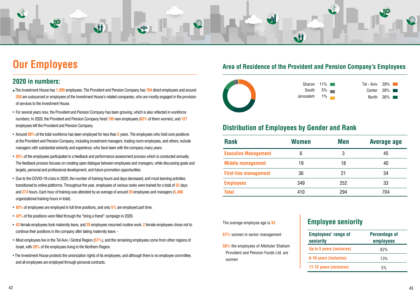<span id="page-21-0"></span>

# **Our Employees**

### **2020 in numbers:**

- The Investment House has 1,095 employees. The Provident and Pension Company has 704 direct employees and around **250** are outsourced or employees of the Investment House's related companies, who are mostly engaged in the provision of services to the Investment House.
- For several years now, the Provident and Pension Company has been growing, which is also reflected in workforce 127 numbers; In 2020, the Provident and Pension Company hired 195 new employees (62% of them women), and 127 employees left the Provident and Pension Company.
- Around 80% of the total workforce has been employed for less than 5 years. The employees who hold core positions at the Provident and Pension Company, including investment managers, trading room employees, and others, include . managers with substantial seniority and experience, who have been with the company many years.
- 93% of the employees participated in a feedback and performance assessment process which is conducted annually. The feedback process focuses on creating open dialogue between employees and managers, while discussing goals and targets, personal and professional development, and future promotion opportunities.
- Due to the COVID-19 crisis in 2020, the number of training hours and days decreased, and most learning activities transitioned to online platforms. Throughout the year, employees of various ranks were trained for a total of 32 days **and 274** hours. Each hour of training was attended by an average of around 20 employees and managers (5,480 organizational training hours in total).
- 95% of employees are employed in full time positions, and only 5% are employed part time.
- 42% of the positions were filled through the "bring a friend" campaign in 2020.
- 43 female employees took maternity leave, and 20 employees resumed routine work. 2 female employees chose not to continue their positions in the company after taking maternity leave. -
- Most employees live in the Tel Aviv / Central Region (57%), and the remaining employees come from other regions of . Israel, with **26%** of the employees living in the Northern Region.
- The Investment House protects the unionization rights of its employees, and although there is no employee committee, and all employees are employed through personal contracts.

### Area of Residence of the Provident and Pension Company's Employees



Sharon **South Jerusalem** 

### **Distribution of Employees by Gender and Rank**

**58%** the employees of Altshuler Shaham Provident and Pension Funds Ltd. are women

**Emp seni** 

| $11\%$               | Tel - Aviv $29\%$ |                             |
|----------------------|-------------------|-----------------------------|
| $5\%$ $\blacksquare$ |                   | Center $28\%$               |
| $1\%$                |                   | North $26\%$ $\blacksquare$ |

### **Employee seniority**

| <b>Rank</b>                  | <b>Women</b> | <b>Men</b> | Average age |
|------------------------------|--------------|------------|-------------|
| <b>Executive Management</b>  | 6            | 3          | 45          |
| <b>Middle management</b>     | 19           | 18         | 40          |
| <b>First-line management</b> | 36           | 21         | 34          |
| <b>Employees</b>             | 349          | 252        | 33          |
| <b>Total</b>                 | 410          | 294        | 704         |

The average employee age is 33

**67%** women in senior management

| <b>Employees' range of</b><br>seniority | <b>Percentage of</b><br>employees |
|-----------------------------------------|-----------------------------------|
| Up to 5 years (inclusive)               | 82%                               |
| 6-10 years (inclusive)                  | 13%                               |
| 11-12 years (inclusive)                 | 5%                                |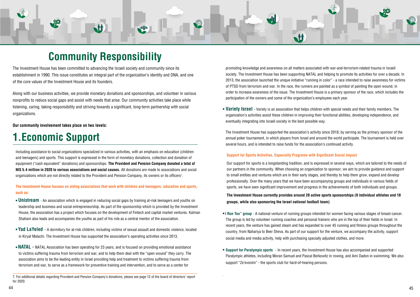# <span id="page-22-0"></span>M **M**

# **Community Responsibility**

The Investment House has been committed to advancing the Israeli society and community since its establishment in 1990. This issue constitutes an integral part of the organization's identity and DNA, and one of the core values of the Investment House and its founders.

Along with our business activities, we provide monetary donations and sponsorships, and volunteer in various nonprofits to reduce social gaps and assist with needs that arise. Our community activities take place while listening, caring, taking responsibility and striving towards a significant, long-term partnership with social .organizations

**Our community involvement takes place on two levels:** 

# **1. Economic Support**

Including assistance to social organizations specialized in various activities, with an emphasis on education (children and teenagers) and sports. This support is expressed in the form of monetary donations, collection and donation of **equipment ("cash equivalent" donations) and sponsorships. The Provident and Pension Company donated a total of** NIS 5.4 million in 2020 to various associations and social causes. All donations are made to associations and social organizations which are not directly related to the Provident and Pension Company, its owners or its officers<sup>7</sup>.

The Investment House focuses on aiding associations that work with children and teenagers, education and sports, such as:

- **Unistream** An association which is engaged in reducing social gaps by training at-risk teenagers and vouths on Ieadership and business and social entrepreneurship. As part of the sponsorship which is provided by the Investment House, the association has a project which focuses on the development of Fintech and capital market ventures. Kalman . Shaham also leads and accompanies the vouths as part of his role as a central mentor of the association.
- Yad LaYeled A dormitory for at-risk children, including victims of sexual assault and domestic violence, located in Kirvat Malachi. The Investment House has supported the association's operating activities since 2013.
- **NATAL** NATAL Association has been operating for 23 years, and is focused on providing emotional assistance to victims suffering trauma from terrorism and war, and to help them deal with the "open wound" they carry. The association aims to be the leading entity in Israel providing help and treatment to victims suffering trauma from terrorism and war, to serve as a framework for preventive training and intervention, and to serve as a center for

promoting knowledge and awareness on all matters associated with war-and-terrorism-related trauma in Israeli society. The Investment House has been supporting NATAL and helping to promote its activities for over a decade. In 2013, the association launched the unique initiative "running in color" - a race intended to raise awareness for victims of PTSD from terrorism and war. In the race, the runners are painted as a symbol of painting the open wound, in order to increase awareness of the issue. The Investment House is a primary sponsor of the race, which includes the participation of the owners and some of the organization's employees each year.

• Variety Israel - Variety is an association that helps children with special needs and their family members. The organization's activities assist these children in improving their functional abilities, developing independence, and eventually integrating into Israeli society in the best possible way.

The Investment House has supported the association's activity since 2018, by serving as the primary sponsor of the annual poker tournament, in which players from Israel and around the world participate. The tournament is held over several hours, and is intended to raise funds for the association's continued activity.

#### **Support for Sports Activities, Especially Programs with Significant Social Impact**

Our support for sports is a longstanding tradition, and is expressed in several ways, which are tailored to the needs of our partners in the community. When choosing an organization to sponsor, we aim to provide quidance and support to small entities and ventures which are in their early stages, and thereby to help them grow, expand and develop professionally. Over the many years that we have been accompanying groups and individuals in various fields of sports, we have seen significant improvement and progress in the achievements of both individuals and groups.

#### **The Investment House currently provides around 28 active sports sponsorships (9 individual athletes and 18 groups, while also sponsoring the Israel national football team)**

- **I Run Too**" group A national venture of running groups intended for women facing various stages of breast cancer. The group is led by volunteer running coaches and personal trainers who are in the top of their fields in Israel. In recent years, the venture has gained steam and has expanded to over 45 running and fitness groups throughout the country, from Nahariya to Beer Sheva. As part of our support for the venture, we accompany the activity, support social media and media activity, help with purchasing specially adjusted clothes, and more.
- Support for Paralympic sports In recent years, the Investment House has also accompanied and supported Paralympic athletes, including Moran Samuel and Pascal Berkowitz in rowing, and Ami Dadon in swimming. We also support "Ze'evonim" - the sports club for hard-of-hearing persons.



<sup>7.</sup> For additional details regarding Provident and Pension Company's donations, please see page 12 of the board of directors' report 2020. for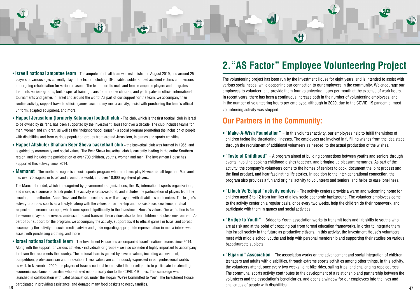

- **Israeli national amputee team** The amputee football team was established in August 2019, and around 25 players of various ages currently play in the team, including IDF disabled soldiers, road accident victims and persons undergoing rehabilitation for various reasons. The team recruits male and female amputee players and integrates them into various groups, builds special training plans for amputee children, and participates in official international tournaments and games in Israel and around the world. As part of our support for the team, we accompany their routine activity, support travel to official games, accompany media activity, assist with purchasing the team's official uniform, adapted equipment, and more.
- Hapoel Jerusalem (formerly Katamon) football club The club, which is the first football club in Israel to be owned by its fans, has been supported by the Investment House for over a decade. The club includes teams for men, women and children, as well as the "neighborhood league" - a social program promoting the inclusion of people with disabilities and from various population groups from around Jerusalem, in games and sports activities.
- Hapoel Altshuler Shaham Beer Sheva basketball club the basketball club was formed in 1965, and is guided by community and social values. The Beer Sheva basketball club is currently leading in the entire Southern region, and includes the participation of over 700 children, vouths, women and men. The Investment House has supported this activity since 2014.
- **Mamanet** The mothers' league is a social sports program where mothers play Newcomb ball together. Mamanet has over 70 leagues in Israel and around the world, and over 18,000 registered players.

The Mamanet model, which is recognized by governmental organizations, the UN, international sports organizations, and more, is a source of Israeli pride. The activity is cross-sectoral, and includes the participation of players from the secular, ultra-orthodox, Arab, Druze and Bedouin sectors, as well as players with disabilities and seniors. The league's activity promotes sports as a lifestyle, along with the values of partnership and co-existence, excellence, mutual respect and personal example, which correspond significantly to the Investment House's values. Our aspiration is for the women players to serve as ambassadors and transmit these values also to their children and close environment. As part of our support for the program, we accompany the activity, support travel to official games in Israel and abroad, accompany the activity on social media, advise and quide regarding appropriate representation in media interviews. assist with purchasing clothing, and more.

• **Israel national football team** - The Investment House has accompanied Israel's national teams since 2014. Along with the support for various athletes - individuals or groups - we also consider it highly important to accompany the team that represents the country. The national team is quided by several values, including achievement, competition, professionalism and innovation. These values are continuously expressed in our professional worlds as well. In November 2020, the players of Israel's national team invited the Israeli public to participate in extending economic assistance to families who suffered economically due to the COVID-19 crisis. This campaign was launched in collaboration with Latet association, under the slogan "We're Committed to You". The Investment House participated in providing assistance, and donated many food baskets to needy families.

# **2. "AS Factor" Employee Volunteering Project**

The volunteering project has been run by the Investment House for eight years, and is intended to assist with various social needs, while deepening our connection to our employees in the community. We encourage our emplovees to volunteer, and provide them four volunteering hours per month at the expense of work hours. In recent years, there has been a continuous increase both in the number of volunteering employees, and in the number of volunteering hours per employee, although in 2020, due to the COVID-19 pandemic, most volunteering activity was stopped.

### **Our Partners in the Community:**

- "Make-A-Wish Foundation" In this volunteer activity, our employees help to fulfill the wishes of children facing life-threatening illnesses. The employees are involved in fulfilling wishes from the idea stage, through the recruitment of additional volunteers as needed, to the actual production of the wishes.
- "Taste of Childhood" A program aimed at building connections between youths and seniors through events involving cooking childhood dishes together, and bringing up pleasant memories. As part of the activity, the company's volunteers come to the homes of seniors to cook, document the joint process and the final product, and hear fascinating life stories. In addition to the inter-generational connection, the program also provides a fun and original activity to volunteers and seniors, and helps to ease loneliness.
- "Lilach Ve'Echpat" activity centers The activity centers provide a warm and welcoming home for children aged 3 to 12 from families of a low socio-economic background. The volunteer employees come to the activity center on a regular basis, once every two weeks, help the children do their homework, and participate with them in games and social activities.
- "Bridge to Youth" Bridge to Youth association works to transmit tools and life skills to youths who are at risk and at the point of dropping out from formal education frameworks, in order to integrate them into Israeli society in the future as productive citizens. In this activity, the Investment House's volunteers meet with middle school vouths and help with personal mentorship and supporting their studies on various baccalaureate subjects.
- "Etgarim" Association The association works on the advancement and social integration of children, teenagers and adults with disabilities, through extreme sports activities among other things. In this activity, the volunteers attend, once every two weeks, joint bike rides, sailing trips, and challenging rope courses. The communal sports activity contributes to the development of a relationship and partnership between the volunteers and the association's beneficiaries, and opens a window for our employees into the lives and challenges of people with disabilities. 46 година продолжил подавшихов.<br>47 июля продолжил подавшихов.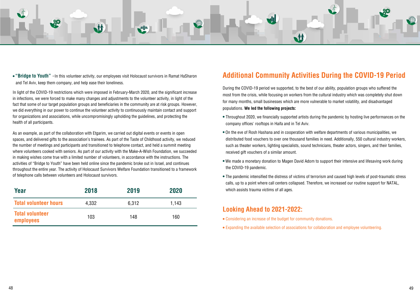

• "Bridge to Youth" - In this volunteer activity, our employees visit Holocaust survivors in Ramat HaSharon and Tel Aviv, keep them company, and help ease their loneliness.

In light of the COVID-19 restrictions which were imposed in February-March 2020, and the significant increase in infections, we were forced to make many changes and adjustments to the volunteer activity, in light of the fact that some of our target population groups and beneficiaries in the community are at risk groups. However, we did everything in our power to continue the volunteer activity to continuously maintain contact and support for organizations and associations, while uncompromisingly upholding the guidelines, and protecting the health of all participants.

As an example, as part of the collaboration with Etgarim, we carried out digital events or events in open spaces, and delivered gifts to the association's trainees. As part of the Taste of Childhood activity, we reduced the number of meetings and participants and transitioned to telephone contact, and held a summit meeting where volunteers cooked with seniors. As part of our activity with the Make-A-Wish Foundation, we succeeded in making wishes come true with a limited number of volunteers, in accordance with the instructions. The activities of "Bridge to Youth" have been held online since the pandemic broke out in Israel, and continues throughout the entire year. The activity of Holocaust Survivors Welfare Foundation transitioned to a framework of telephone calls between volunteers and Holocaust survivors.

| Year                                | 2018  | 2019  | 2020  |
|-------------------------------------|-------|-------|-------|
| <b>Total volunteer hours</b>        | 4,332 | 6,312 | 1,143 |
| <b>Total volunteer</b><br>employees | 103   | 148   | 160   |

### **Additional Community Activities During the COVID-19 Period**

During the COVID-19 period we supported, to the best of our ability, population groups who suffered the most from the crisis, while focusing on workers from the cultural industry which was completely shut down for many months, small businesses which are more vulnerable to market volatility, and disadvantaged populations. We led the following projects:

- Throughout 2020, we financially supported artists during the pandemic by hosting live performances on the company offices' rooftops in Haifa and in Tel Aviv.
- On the eve of Rosh Hashana and in cooperation with welfare departments of various municipalities, we distributed food vouchers to over one thousand families in need. Additionally, 550 cultural industry workers, such as theater workers, lighting specialists, sound technicians, theater actors, singers, and their families, received gift vouchers of a similar amount.
- We made a monetary donation to Magen David Adom to support their intensive and lifesaving work during the COVID-19 pandemic.
- The pandemic intensified the distress of victims of terrorism and caused high levels of post-traumatic stress calls, up to a point where call centers collapsed. Therefore, we increased our routine support for NATAL, which assists trauma victims of all ages.

### **Looking Ahead to 2021-2022:**

- Considering an increase of the budget for community donations.
- Expanding the available selection of associations for collaboration and employee volunteering.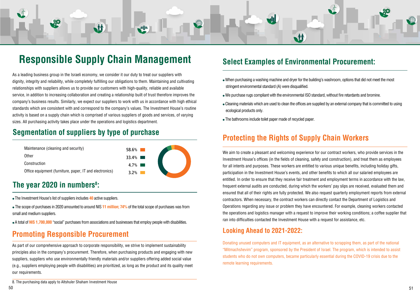<span id="page-25-0"></span>

# **Responsible Supply Chain Management**

As a leading business group in the Israeli economy, we consider it our duty to treat our suppliers with dignity, integrity and reliability, while completely fulfilling our obligations to them. Maintaining and cultivating relationships with suppliers allows us to provide our customers with high-quality, reliable and available service, in addition to increasing collaboration and creating a relationship built of trust therefore improves the company's business results. Similarly, we expect our suppliers to work with us in accordance with high ethical standards which are consistent with and correspond to the company's values. The Investment House's routine activity is based on a supply chain which is comprised of various suppliers of goods and services, of varying sizes. All purchasing activity takes place under the operations and logistics department.

### **Segmentation of suppliers by type of purchase**



### **The year 2020 in numbers<sup>8</sup>:**

• The Investment House's list of suppliers includes 40 active suppliers.

- The scope of purchases in 2020 amounted to around NIS 11 million; 74% of the total scope of purchases was from small and medium suppliers.
- . A total of NIS 1,700,000 "social" purchases from associations and businesses that employ people with disabilities.

### **Promoting Responsible Procurement**

As part of our comprehensive approach to corporate responsibility, we strive to implement sustainability principles also in the company's procurement. Therefore, when purchasing products and engaging with new suppliers, suppliers who use environmentally friendly materials and/or suppliers offering added social value  $\epsilon$ , suppliers employing people with disabilities) are prioritized, as long as the product and its quality meet our requirements.

### **Select Examples of Environmental Procurement:**

- When purchasing a washing machine and dryer for the building's washroom, options that did not meet the most stringent environmental standard (A) were disqualified.
- We purchase rugs compliant with the environmental ISO standard, without fire retardants and bromine.
- Cleaning materials which are used to clean the offices are supplied by an external company that is committed to using ecological products only.
- The bathrooms include toilet paper made of recycled paper.

### **Protecting the Rights of Supply Chain Workers**

We aim to create a pleasant and welcoming experience for our contract workers, who provide services in the Investment House's offices (in the fields of cleaning, safety and construction), and treat them as employees for all intents and purposes. These workers are entitled to various unique benefits, including holiday gifts, participation in the Investment House's events, and other benefits to which all our salaried emplovees are entitled. In order to ensure that they receive fair treatment and employment terms in accordance with the law, frequent external audits are conducted, during which the workers' pay slips are received, evaluated them and ensured that all of their rights are fully protected. We also request quarterly employment reports from external contractors. When necessary, the contract workers can directly contact the Department of Logistics and Operations regarding any issue or problem they have encountered. For example, cleaning workers contacted the operations and logistics manager with a request to improve their working conditions; a coffee supplier that ran into difficulties contacted the Investment House with a request for assistance, etc.

### **Looking Ahead to 2021-2022:**

Donating unused computers and IT equipment, as an alternative to scrapping them, as part of the national "Mitmachshevim" program, sponsored by the President of Israel. The program, which is intended to assist students who do not own computers, became particularly essential during the COVID-19 crisis due to the remote learning requirements.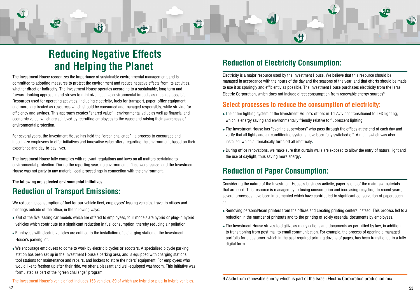<span id="page-26-0"></span>

# **Reducing Negative Effects** and Helping the Planet

The Investment House recognizes the importance of sustainable environmental management, and is committed to adopting measures to protect the environment and reduce negative effects from its activities. whether direct or indirectly. The Investment House operates according to a sustainable, long term and forward-looking approach, and strives to minimize negative environmental impacts as much as possible. Resources used for operating activities, including electricity, fuels for transport, paper, office equipment, and more, are treated as resources which should be consumed and managed responsibly, while striving for efficiency and savings. This approach creates "shared value" - environmental value as well as financial and economic value, which are achieved by recruiting employees to the cause and raising their awareness of environmental protection.

For several years, the Investment House has held the "green challenge" - a process to encourage and incentivize employees to offer initiatives and innovative value offers regarding the environment, based on their experience and day-to-day lives.

The Investment House fully complies with relevant regulations and laws on all matters pertaining to environmental protection. During the reporting year, no environmental fines were issued, and the Investment . House was not party to any material legal proceedings in connection with the environment.

#### **The following are selected environmental initiatives:**

### **Reduction of Transport Emissions:**

We reduce the consumption of fuel for our vehicle fleet, employees' leasing vehicles, travel to offices and meetings outside of the office, in the following ways:

- Out of the five leasing car models which are offered to employees, four models are hybrid or plug-in hybrid vehicles which contribute to a significant reduction in fuel consumption, thereby reducing air pollution.
- Employees with electric vehicles are entitled to the installation of a charging station at the Investment House's parking lot.
- We encourage employees to come to work by electric bicycles or scooters. A specialized bicycle parking station has been set up in the Investment House's parking area, and is equipped with charging stations, tool stations for maintenance and repairs, and lockers to store the riders' equipment. For employees who would like to freshen up after their ride, we offer a pleasant and well-equipped washroom. This initiative was formulated as part of the "green challenge" program.

The Investment House's vehicle fleet includes 153 vehicles, 89 of which are hybrid or plug-in hybrid vehicles.

## **Reduction of Electricity Consumption:**

Electricity is a major resource used by the Investment House. We believe that this resource should be managed in accordance with the hours of the day and the seasons of the year, and that efforts should be made to use it as sparingly and efficiently as possible. The Investment House purchases electricity from the Israeli Electric Corporation, which does not include direct consumption from renewable energy sources<sup>9</sup>.

### **Select processes to reduce the consumption of electricity:**

- The entire lighting system at the Investment House's offices in Tel Aviv has transitioned to LED lighting, which is energy saving and environmentally friendly relative to fluorescent lighting.
- The Investment House has "evening supervisors" who pass through the offices at the end of each day and verify that all lights and air conditioning systems have been fully switched off. A main switch was also installed, which automatically turns off all electricity.
- During office renovations, we make sure that curtain walls are exposed to allow the entry of natural light and the use of daylight, thus saving more energy.

### **Reduction of Paper Consumption:**

Considering the nature of the Investment House's business activity, paper is one of the main raw materials that are used. This resource is managed by reducing consumption and increasing recycling. In recent years, several processes have been implemented which have contributed to significant conservation of paper, such as:

- Removing personal/team printers from the offices and creating printing centers instead. This process led to a reduction in the number of printouts and to the printing of solely essential documents by employees.
- The Investment House strives to digitize as many actions and documents as permitted by law, in addition to transitioning from post mail to email communication. For example, the process of opening a managed portfolio for a customer, which in the past required printing dozens of pages, has been transitioned to a fully digital form.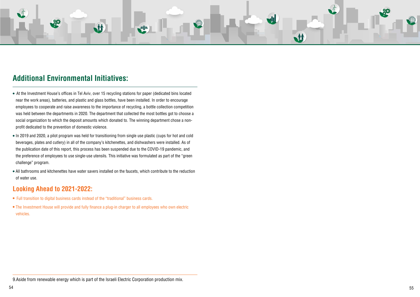

### **Additional Environmental Initiatives:**

- At the Investment House's offices in Tel Aviv, over 15 recycling stations for paper (dedicated bins located near the work areas), batteries, and plastic and glass bottles, have been installed. In order to encourage employees to cooperate and raise awareness to the importance of recycling, a bottle collection competition was held between the departments in 2020. The department that collected the most bottles got to choose a social organization to which the deposit amounts which donated to. The winning department chose a non-<br>profit dedicated to the prevention of domestic violence.
- In 2019 and 2020, a pilot program was held for transitioning from single use plastic (cups for hot and cold beverages, plates and cutlery) in all of the company's kitchenettes, and dishwashers were installed. As of the publication date of this report, this process has been suspended due to the COVID-19 pandemic, and the preference of employees to use single-use utensils. This initiative was formulated as part of the "green challenge" program.
- All bathrooms and kitchenettes have water savers installed on the faucets, which contribute to the reduction of water use.

### **Looking Ahead to 2021-2022:**

- Full transition to digital business cards instead of the "traditional" business cards.
- The Investment House will provide and fully finance a plug-in charger to all employees who own electric .vehicles

9. Aside from renewable energy which is part of the Israeli Electric Corporation production mix.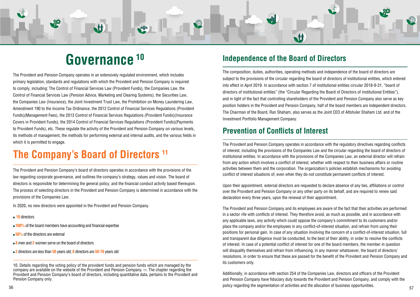# **10 Governance**

M

<span id="page-28-0"></span>The Provident and Pension Company operates in an extensively regulated environment, which includes primary legislation, standards and regulations with which the Provident and Pension Company is regulred to comply, including: The Control of Financial Services Law (Provident Funds), the Companies Law, the Control of Financial Services Law (Pension Advice, Marketing and Clearing Systems), the Securities Law, the Companies Law (Insurance), the Joint Investment Trust Law, the Prohibition on Money Laundering Law, Amendment 190 to the Income Tax Ordinance, the 2012 Control of Financial Services Regulations (Provident Funds)(Management Fees), the 2013 Control of Financial Services Regulations (Provident Funds)(Insurance Covers in Provident Funds), the 2014 Control of Financial Services Regulations (Provident Funds) (Payments to Provident Funds), etc. These regulate the activity of the Provident and Pension Company on various levels, its methods of management, the methods for performing external and internal audits, and the various fields in which it is permitted to engage.

# **The Company's Board of Directors 11**

The Provident and Pension Company's board of directors operates in accordance with the provisions of the law regarding corporate governance, and outlines the company's strategy, values and vision. The board of directors is responsible for determining the general policy, and the financial conduct activity based thereupon. The process of selecting directors in the Provident and Pension Company is determined in accordance with the provisions of the Companies Law.

In 2020, no new directors were appointed in the Provident and Pension Company.

- **10** directors
- **100%** of the board members have accounting and financial expertise
- 50% of the directors are external
- $\bullet$  8 men and 2 women serve on the board of directors
- 2 directors are less than 50 years old; 8 directors are 50-70 years old

10. Details regarding the voting policy of the provident funds and pension funds which are managed by the company are available on the website of the Provident and Pension Company. 11. The chapter regarding the Provident and Pension Company's board of directors, including quantitative data, pertains to the Provident and Pension Company only.

### **Independence of the Board of Directors**

**M** 

The composition, duties, authorities, operating methods and independence of the board of directors are subject to the provisions of the circular regarding the board of directors of institutional entities, which entered into effect in April 2019. In accordance with section 7 of institutional entities circular 2018-9-31, "board of directors of institutional entities" (the "Circular Regarding the Board of Directors of Institutional Entities"). and in light of the fact that controlling shareholders of the Provident and Pension Company also serve as key position holders in the Provident and Pension Company, half of the board members are independent directors. The Chairman of the Board, Ran Shaham, also serves as the Joint CEO of Altshuler Shaham Ltd. and of the Investment Portfolio Management Company.

### **Prevention of Conflicts of Interest**

The Provident and Pension Company operates in accordance with the regulatory directives regarding conflicts of interest, including the provisions of the Companies Law and the circular regarding the board of directors of institutional entities. In accordance with the provisions of the Companies Law, an external director will refrain from any action which involves a conflict of interest, whether with respect to their business affairs or routine activities between them and the corporation. The organization's policies establish mechanisms for avoiding conflict of interest situations of, even when they do not constitute permanent conflicts of interest.

Upon their appointment, external directors are requested to declare absence of any ties, affiliations or control over the Provident and Pension Company or any other party on its behalf, and are required to renew said declaration every three years, upon the renewal of their appointment.

The Provident and Pension Company and its employees are aware of the fact that their activities are performed in a sector rife with conflicts of interest. They therefore avoid, as much as possible, and in accordance with any applicable laws, any activity which could oppose the company's commitment to its customers and/or place the company and/or the employees in any conflict-of-interest situation, and refrain from using their positions for personal gain. In case of any situation involving the concern of a conflict-of-interest situation, full and transparent due diligence must be conducted, to the best of their ability, in order to resolve the conflicts of interest. In case of a potential conflict of interest for one of the board members, the member in question will disqualify themselves and refrain from influencing, in any manner whatsoever, the board of directors' resolutions, in order to ensure that these are passed for the benefit of the Provident and Pension Company and its customers only.

Additionally, in accordance with section 254 of the Companies Law, directors and officers of the Provident and Pension Company have fiduciary duty towards the Provident and Pension Company, and comply with the .opportunities business opportunities. The segmentation of activities and the allocation of business opportunities. The segmentation of scale  $\,$ 

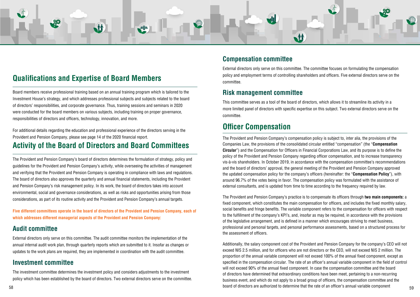<span id="page-29-0"></span>

### **Qualifications and Expertise of Board Members**

Board members receive professional training based on an annual training program which is tailored to the Investment House's strategy, and which addresses professional subjects and subjects related to the board of directors' responsibilities, and corporate governance. Thus, training sessions and seminars in 2020 were conducted for the board members on various subjects, including training on proper governance, responsibilities of directors and officers, technology, innovation, and more.

For additional details regarding the education and professional experience of the directors serving in the Provident and Pension Company, please see page 14 of the 2020 financial report.

### **Activity of the Board of Directors and Board Committees**

The Provident and Pension Company's board of directors determines the formulation of strategy, policy and guidelines for the Provident and Pension Company's activity, while overseeing the activities of management and verifying that the Provident and Pension Company is operating in compliance with laws and regulations. The board of directors also approves the quarterly and annual financial statements, including the Provident and Pension Company's risk management policy. In its work, the board of directors takes into account environmental, social and governance considerations, as well as risks and opportunities arising from those considerations, as part of its routine activity and the Provident and Pension Company's annual targets.

Five different committees operate in the board of directors of the Provident and Pension Company, each of which addresses different managerial aspects of the Provident and Pension Company:

### **Audit committee**

External directors only serve on this committee. The audit committee monitors the implementation of the annual internal audit work plan, through quarterly reports which are submitted to it. Insofar as changes or updates to the work plans are required, they are implemented in coordination with the audit committee.

### **Investment committee**

The investment committee determines the investment policy and considers adjustments to the investment policy which has been established by the board of directors. Two external directors serve on the committee. External directors only serve on this committee. The committee focuses on formulating the compensation policy and employment terms of controlling shareholders and officers. Five external directors serve on the .committee

### **Risk management committee**

This committee serves as a tool of the board of directors, which allows it to streamline its activity in a more limited panel of directors with specific expertise on this subject. Two external directors serve on the .committee

### **Officer Compensation**

The Provident and Pension Company's compensation policy is subject to, inter alia, the provisions of the Companies Law, the provisions of the consolidated circular entitled "compensation" (the "**Compensation Circular**") and the Compensation for Officers in Financial Corporations Law, and its purpose is to define the policy of the Provident and Pension Company regarding officer compensation, and to increase transparency vis-à-vis shareholders. In October 2019, in accordance with the compensation committee's recommendations and the board of directors' approval, the general meeting of the Provident and Pension Company approved the updated compensation policy for the company's officers (hereinafter: the "**Compensation Policy**"), with around 96.7% of the votes being in favor. The compensation policy was formulated with the assistance of external consultants, and is updated from time to time according to the frequency required by law.

The Provident and Pension Company's practice is to compensate its officers through **two main components:** a fixed component, which constitutes the main compensation for officers, and includes the fixed monthly salary, social benefits and fringe benefits. The variable component refers to the compensation for officers with respect to the fulfillment of the company's KPI's, and, insofar as may be required, in accordance with the provisions of the legislative arrangement, and is defined in a manner which encourages striving to meet business, professional and personal targets, and personal performance assessments, based on a structured process for the assessment of officers.

Additionally, the salary component cost of the Provident and Pension Company for the company's CEO will not exceed NIS 2.5 million, and for officers who are not directors or the CEO, will not exceed NIS 2 million. The proportion of the annual variable component will not exceed 100% of the annual fixed component, except as specified in the compensation circular. The rate of an officer's annual variable component in the field of control will not exceed 90% of the annual fixed component. In case the compensation committee and the board of directors have determined that extraordinary conditions have been meet, pertaining to a non-recurring business event, and which do not apply to a broad group of officers, the compensation committee and the board of directors are authorized to determine that the rate of an officer's annual variable component  $\,59$ 

### **committee Compensation**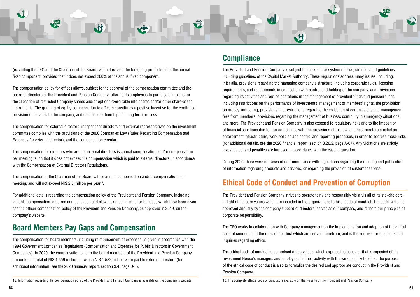<span id="page-30-0"></span>

(excluding the CEO and the Chairman of the Board) will not exceed the foregoing proportions of the annual fixed component, provided that it does not exceed 200% of the annual fixed component.

The compensation policy for offices allows, subject to the approval of the compensation committee and the board of directors of the Provident and Pension Company, offering its employees to participate in plans for the allocation of restricted Company shares and/or options exercisable into shares and/or other share-based instruments. The granting of equity compensation to officers constitutes a positive incentive for the continued provision of services to the company, and creates a partnership in a long term process.

The compensation for external directors, independent directors and external representatives on the investment committee complies with the provisions of the 2000 Companies Law (Rules Regarding Compensation and Expenses for external director), and the compensation circular.

The compensation for directors who are not external directors is annual compensation and/or compensation per meeting, such that it does not exceed the compensation which is paid to external directors, in accordance with the Compensation of External Directors Regulations.

The compensation of the Chairman of the Board will be annual compensation and/or compensation per meeting, and will not exceed NIS 2.5 million per year<sup>12</sup>.

For additional details regarding the compensation policy of the Provident and Pension Company, including variable compensation, deferred compensation and clawback mechanisms for bonuses which have been given, see the officer compensation policy of the Provident and Pension Company, as approved in 2019, on the company's website.

### **Board Members Pay Gaps and Compensation**

The compensation for board members, including reimbursement of expenses, is given in accordance with the 1994 Government Companies Regulations (Compensation and Expenses for Public Directors in Government Companies). In 2020, the compensation paid to the board members of the Provident and Pension Company amounts to a total of NIS 1.659 million, of which NIS 1.532 million were paid to external directors (for additional information, see the 2020 financial report, section 3.4, page D-5).

### **Compliance**

The Provident and Pension Company is subject to an extensive system of laws, circulars and guidelines, including guidelines of the Capital Market Authority. These regulations address many issues, including, inter alia, provisions regarding the managing company's structure, including corporate rules, licensing requirements, and requirements in connection with control and holding of the company, and provisions regarding its activities and routine operations in the management of provident funds and pension funds, including restrictions on the performance of investments, management of members' rights, the prohibition on money laundering, provisions and restrictions regarding the collection of commissions and management fees from members, provisions regarding the management of business continuity in emergency situations, and more. The Provident and Pension Company is also exposed to regulatory risks and to the imposition of financial sanctions due to non-compliance with the provisions of the law, and has therefore created an enforcement infrastructure, work policies and control and reporting processes, in order to address those risks (for additional details, see the 2020 financial report, section 3.26.2, page A-67). Any violations are strictly investigated, and penalties are imposed in accordance with the case in question.

During 2020, there were no cases of non-compliance with regulations regarding the marking and publication of information regarding products and services, or regarding the provision of customer service.

### **Ethical Code of Conduct and Prevention of Corruption**

The Provident and Pension Company strives to operate fairly and responsibly vis-à-vis all of its stakeholders. in light of the core values which are included in the organizational ethical code of conduct. The code, which is approved annually by the company's board of directors, serves as our compass, and reflects our principles of corporate responsibility.

The CEO works in collaboration with Company management on the implementation and adoption of the ethical code of conduct, and the rules of conduct which are derived therefrom, and is the address for questions and inquiries regarding ethics.

The ethical code of conduct is comprised of ten values which express the behavior that is expected of the Investment House's managers and employees, in their activity with the various stakeholders. The purpose of the ethical code of conduct is also to formalize the desired and appropriate conduct in the Provident and Pension Company.

13. The complete ethical code of conduct is available on the website of the Provident and Pension Company

<sup>12.</sup> Information regarding the compensation policy of the Provident and Pension Company is available on the company's website.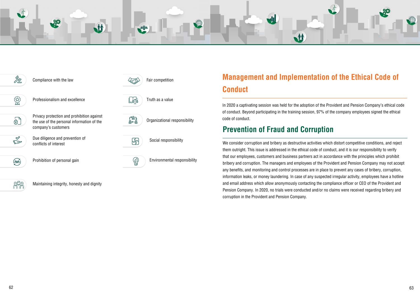## **Management and Implementation of the Ethical Code of Conduct**

In 2020 a captivating session was held for the adoption of the Provident and Pension Company's ethical code of conduct. Beyond participating in the training session, 97% of the company employees signed the ethical code of conduct.

### **Prevention of Fraud and Corruption**

We consider corruption and bribery as destructive activities which distort competitive conditions, and reject them outright. This issue is addressed in the ethical code of conduct, and it is our responsibility to verify that our employees, customers and business partners act in accordance with the principles which prohibit bribery and corruption. The managers and employees of the Provident and Pension Company may not accept any benefits, and monitoring and control processes are in place to prevent any cases of bribery, corruption, information leaks, or money laundering. In case of any suspected irregular activity, employees have a hotline and email address which allow anonymously contacting the compliance officer or CEO of the Provident and Pension Company. In 2020, no trials were conducted and/or no claims were received regarding bribery and corruption in the Provident and Pension Company.

<span id="page-31-0"></span>





 $\hat{\mathbb{Z}}$ 

您

 $\bigoplus$ 

 $\mathscr{A}$ 

 $\sum$ 

 $\mathbb{R}$ 

Maintaining integrity, honesty and dignity



```
Social responsibility
```
Environmental responsibility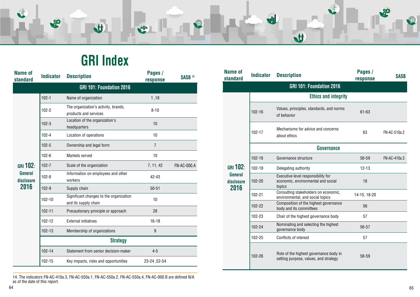### <span id="page-32-0"></span> $\bigoplus$ 80 M **ALL** W

# **GRI** Index

| <b>Name of</b><br>standard   | <b>Indicator</b> | <b>Description</b>                                              | Pages /<br>response | <b>SASB 14</b>     |
|------------------------------|------------------|-----------------------------------------------------------------|---------------------|--------------------|
|                              |                  | GRI 101: Foundation 2016                                        |                     |                    |
|                              | $102 - 1$        | Name of organization                                            | 1,18                |                    |
|                              | $102 - 2$        | The organization's activity, brands,<br>products and services   | $8 - 10$            |                    |
|                              | $102 - 3$        | Location of the organization's<br>headquarters                  | 10                  |                    |
|                              | $102 - 4$        | Location of operations                                          | 10                  |                    |
|                              | $102 - 5$        | Ownership and legal form                                        | $\overline{7}$      |                    |
|                              | $102 - 6$        | Markets served                                                  | 10                  |                    |
| $GRI$ 102:                   | $102 - 7$        | Scale of the organization                                       | 7, 11, 42           | <b>FN-AC-000.A</b> |
| <b>General</b><br>disclosure | $102 - 8$        | Information on employees and other<br>workers                   | $42 - 43$           |                    |
| 2016                         | $102 - 9$        | Supply chain                                                    | $50 - 51$           |                    |
|                              | 102-10           | Significant changes to the organization<br>and its supply chain | 10                  |                    |
|                              | $102 - 11$       | Precautionary principle or approach                             | 28                  |                    |
|                              | 102-12           | <b>External initiatives</b>                                     | $16 - 18$           |                    |
|                              | 102-13           | Membership of organizations                                     | 9                   |                    |
|                              |                  | <b>Strategy</b>                                                 |                     |                    |
|                              | 102-14           | Statement from senior decision-maker                            | $4 - 5$             |                    |
|                              | 102-15           | Key impacts, risks and opportunities                            | 23-24, 52-54        |                    |

| <b>Name of</b><br><b>standard</b>    | <b>Indicator</b>  | <b>Description</b>                                                                 | Pages /<br>response | <b>SASB</b>  |  |
|--------------------------------------|-------------------|------------------------------------------------------------------------------------|---------------------|--------------|--|
|                                      |                   | GRI 101: Foundation 2016                                                           |                     |              |  |
|                                      |                   | <b>Ethics and integrity</b>                                                        |                     |              |  |
|                                      | $102 - 16$        | Values, principles, standards, and norms<br>of behavior                            | $61 - 63$           |              |  |
|                                      | $102 - 17$        | Mechanisms for advice and concerns<br>about ethics                                 | 63                  | FN-AC-510a.2 |  |
|                                      | <b>Governance</b> |                                                                                    |                     |              |  |
|                                      | $102 - 18$        | Governance structure                                                               | 56-59               | FN-AC-410a.3 |  |
| $GRI$ 102:                           | 102-19            | Delegating authority                                                               | $12 - 13$           |              |  |
| <b>General</b><br>disclosure<br>2016 | 102-20            | Executive-level responsibility for<br>economic, environmental and social<br>topics | 18                  |              |  |
|                                      | 102-21            | Consulting stakeholders on economic,<br>environmental, and social topics           | 14-15, 18-20        |              |  |
|                                      | 102-22            | Composition of the highest governance<br>body and its committees                   | 56                  |              |  |
|                                      | 102-23            | Chair of the highest governance body                                               | 57                  |              |  |
|                                      | 102-24            | Nominating and selecting the highest<br>governance body                            | 56-57               |              |  |
|                                      | 102-25            | Conflicts of interest                                                              | 57                  |              |  |
|                                      | 102-26            | Role of the highest governance body in<br>setting purpose, values, and strategy    | 58-59               |              |  |

14. The indicators FN-AC-410a.3, FN-AC-550a.1, FN-AC-550a.2, FN-AC-550a.4, FN-AC-000.B are defined N/A as of the date of this report.

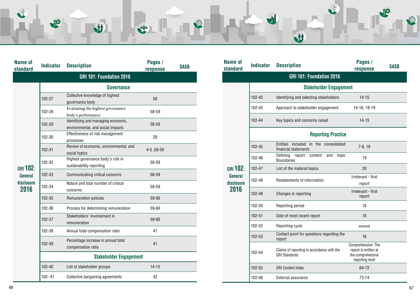| VI | 80 | $\dot{M}$<br>NL | <b>KILL</b> | W | NI I     |  |
|----|----|-----------------|-------------|---|----------|--|
|    |    |                 |             |   | <b>M</b> |  |

| <b>Name of</b><br>standard | <b>Indicator</b> | <b>Description</b>                                                      | Pages /<br>response | <b>SASB</b> |
|----------------------------|------------------|-------------------------------------------------------------------------|---------------------|-------------|
|                            |                  | <b>GRI 101: Foundation 2016</b>                                         |                     |             |
|                            |                  | <b>Governance</b>                                                       |                     |             |
|                            | 102-27           | Collective knowledge of highest<br>governance body                      | 58                  |             |
|                            | 102-28           | Evaluating the highest governance<br>body's performance                 | 58-59               |             |
|                            | 102-29           | Identifying and managing economic,<br>environmental, and social impacts | 58-59               |             |
|                            | 102-30           | Effectiveness of risk management<br>processes                           | 28                  |             |
| <b>GRI 102:</b>            | 102-31           | Review of economic, environmental, and<br>social topics                 | 4-5, 58-59          |             |
|                            | 102-32           | Highest governance body's role in<br>sustainability reporting           | 58-59               |             |
| <b>General</b>             | 102-33           | Communicating critical concerns                                         | 58-59               |             |
| disclosure<br>2016         | 102-34           | Nature and total number of critical<br>concerns                         | 58-59               |             |
|                            | 102-35           | Remuneration policies                                                   | 59-60               |             |
|                            | 102-36           | Process for determining remuneration                                    | 59-60               |             |
|                            | 102-37           | Stakeholders' involvement in<br>remuneration                            | 59-60               |             |
|                            | 102-38           | Annual total compensation ratio                                         | 41                  |             |
|                            | 102-39           | Percentage increase in annual total<br>compensation ratio               | 41                  |             |
|                            |                  | <b>Stakeholder Engagement</b>                                           |                     |             |
|                            | 102-40           | List of stakeholder groups                                              | $14 - 15$           |             |
|                            | 102-41           | Collective bargaining agreements                                        | 42                  |             |

| <b>Name of</b><br>standard | <b>Indicator</b> | <b>Description</b>                                                 | Pages /<br>response                                                               | <b>SASB</b> |
|----------------------------|------------------|--------------------------------------------------------------------|-----------------------------------------------------------------------------------|-------------|
|                            |                  | <b>GRI 101: Foundation 2016</b>                                    |                                                                                   |             |
|                            |                  | <b>Stakeholder Engagement</b>                                      |                                                                                   |             |
|                            | 102-42           | Identifying and selecting stakeholders                             | $14 - 15$                                                                         |             |
|                            | 102-43           | Approach to stakeholder engagement                                 | 14-16, 18-19                                                                      |             |
|                            | 102-44           | Key topics and concerns raised                                     | $14 - 15$                                                                         |             |
|                            |                  | <b>Reporting Practice</b>                                          |                                                                                   |             |
|                            | 102-45           | Entities included in the consolidated<br>financial statements      | $7-8, 18$                                                                         |             |
|                            | 102-46           | Defining<br>report<br>content<br>topic<br>and<br><b>Boundaries</b> | 19                                                                                |             |
| $GRI$ 102:                 | 102-47           | List of the material topics                                        | 20                                                                                |             |
| General<br>disclosure      | 102-48           | Restatements of information                                        | Irrelevant - first<br>report                                                      |             |
| 2016                       | 102-49           | Changes in reporting                                               | Irrelevant - first<br>report                                                      |             |
|                            | 102-50           | Reporting period                                                   | 18                                                                                |             |
|                            | 102-51           | Date of most recent report                                         | 18                                                                                |             |
|                            | 102-52           | Reporting cycle                                                    | annual                                                                            |             |
|                            | 102-53           | Contact point for questions regarding the<br>report                | 18                                                                                |             |
|                            | 102-54           | Claims of reporting in accordance with the<br><b>GRI Standards</b> | Comprehensive-The<br>report is written at<br>the comprehensive<br>reporting level |             |
|                            | 102-55           | <b>GRI Content Index</b>                                           | 64-72                                                                             |             |
|                            | 102-56           | External assurance                                                 | 73-74                                                                             |             |

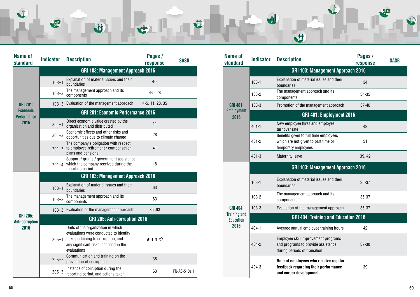| 80 | <b>A</b> | <b>A</b> | 0 |  |
|----|----------|----------|---|--|
|    |          |          |   |  |
|    |          |          |   |  |

| <b>Name of</b><br>standard                | <b>Indicator</b>                         | <b>Description</b>                                                                                                                                                            | Pages /<br>response | <b>SASB</b>  |  |  |
|-------------------------------------------|------------------------------------------|-------------------------------------------------------------------------------------------------------------------------------------------------------------------------------|---------------------|--------------|--|--|
|                                           | GRI 103: Management Approach 2016        |                                                                                                                                                                               |                     |              |  |  |
|                                           | $103 - 1$                                | Explanation of material issues and their<br>boundaries                                                                                                                        | $4 - 5$             |              |  |  |
|                                           | $103 - 2$                                | The management approach and its<br>components                                                                                                                                 | $4-5, 28$           |              |  |  |
| <b>GRI 201:</b>                           |                                          | 103-3 Evaluation of the management approach                                                                                                                                   | 4-5, 11, 28, 35     |              |  |  |
| <b>Economic</b><br><b>Performance</b>     |                                          | <b>GRI 201: Economic Performance 2016</b>                                                                                                                                     |                     |              |  |  |
| 2016                                      | $201 - 1$                                | Direct economic value created by the<br>organization and distributed                                                                                                          | 11                  |              |  |  |
|                                           | $201 - 2$                                | Economic effects and other risks and<br>opportunities due to climate change                                                                                                   | 28                  |              |  |  |
|                                           | $201 - 3$                                | The company's obligation with respect<br>to employee retirement / compensation<br>plans and pensions                                                                          | 41                  |              |  |  |
|                                           | $201 - 4$                                | Support / grants / government assistance<br>which the company received during the<br>reporting period                                                                         | 18                  |              |  |  |
|                                           | <b>GRI 103: Management Approach 2016</b> |                                                                                                                                                                               |                     |              |  |  |
|                                           | $103 - 1$                                | Explanation of material issues and their<br>boundaries                                                                                                                        | 63                  |              |  |  |
|                                           | $103 - 2$                                | The management approach and its<br>components                                                                                                                                 | 63                  |              |  |  |
|                                           |                                          | 103-3 Evaluation of the management approach                                                                                                                                   | 35,63               |              |  |  |
| <b>GRI 205:</b><br><b>Anti-corruption</b> |                                          | GRI 205: Anti-corruption 2016                                                                                                                                                 |                     |              |  |  |
| 2016                                      | $205 - 1$                                | Units of the organization in which<br>evaluations were conducted to identify<br>risks pertaining to corruption, and<br>any significant risks identified in the<br>evaluations | לא מופיע            |              |  |  |
|                                           | $205 - 2$                                | Communication and training on the<br>prevention of corruption                                                                                                                 | 35                  |              |  |  |
|                                           | $205 - 3$                                | Instance of corruption during the<br>reporting period, and actions taken                                                                                                      | 63                  | FN-AC-510a.1 |  |  |

| <b>Name of</b><br>standard              | <b>Indicator</b>                         | <b>Description</b>                                                                                        | Pages /<br>response | <b>SASB</b> |  |  |
|-----------------------------------------|------------------------------------------|-----------------------------------------------------------------------------------------------------------|---------------------|-------------|--|--|
|                                         | <b>GRI 103: Management Approach 2016</b> |                                                                                                           |                     |             |  |  |
|                                         | $103 - 1$                                | Explanation of material issues and their<br>boundaries                                                    | 34                  |             |  |  |
|                                         | $103 - 2$                                | The management approach and its<br>components                                                             | 34-35               |             |  |  |
| <b>GRI 401:</b>                         | $103 - 3$                                | Promotion of the management approach                                                                      | $37 - 40$           |             |  |  |
| <b>Employment</b><br>2016               |                                          | GRI 401: Employment 2016                                                                                  |                     |             |  |  |
|                                         | $401 - 1$                                | New employee hires and employee<br>turnover rate                                                          | 42                  |             |  |  |
|                                         | $401 - 2$                                | Benefits given to full time employees<br>which are not given to part time or<br>temporary employees       | 51                  |             |  |  |
|                                         | $401 - 3$                                | <b>Maternity leave</b>                                                                                    | 39, 42              |             |  |  |
|                                         |                                          | <b>GRI 103: Management Approach 2016</b>                                                                  |                     |             |  |  |
|                                         | $103 - 1$                                | Explanation of material issues and their<br>boundaries                                                    | $35 - 37$           |             |  |  |
|                                         | $103 - 2$                                | The management approach and its<br>components                                                             | $35 - 37$           |             |  |  |
| <b>GRI 404:</b>                         | $103 - 3$                                | Evaluation of the management approach                                                                     | $35 - 37$           |             |  |  |
| <b>Training and</b><br><b>Education</b> |                                          | GRI 404: Training and Education 2016                                                                      |                     |             |  |  |
| 2016                                    | $404 - 1$                                | Average annual employee training hours                                                                    | 42                  |             |  |  |
|                                         | 404-2                                    | Employee skill improvement programs<br>and programs to provide assistance<br>during periods of transition | $37 - 38$           |             |  |  |
|                                         | $404 - 3$                                | Rate of employees who receive regular<br>feedback regarding their performance<br>and career development   | 39                  |             |  |  |

 $\blacksquare$ 

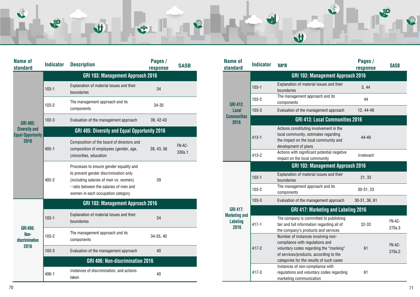|                                                  | $103 - 1$                         | Explanation of material issues and their<br>boundaries                                                                                                                                                    | 34         |                  |  |  |  |
|--------------------------------------------------|-----------------------------------|-----------------------------------------------------------------------------------------------------------------------------------------------------------------------------------------------------------|------------|------------------|--|--|--|
|                                                  | $103 - 2$                         | The management approach and its<br>components                                                                                                                                                             | 34-35      |                  |  |  |  |
| <b>GRI 405:</b>                                  | $103 - 3$                         | Evaluation of the management approach                                                                                                                                                                     | 39, 42-43  |                  |  |  |  |
| <b>Diversity and</b><br><b>Equal Opportunity</b> |                                   | GRI 405: Diversity and Equal Opportunity 2016                                                                                                                                                             |            |                  |  |  |  |
| 2016                                             | $405 - 1$                         | Composition of the board of directors and<br>composition of employees (gender, age,<br>(minorities, education                                                                                             | 39, 43, 56 | FN-AC-<br>330a.1 |  |  |  |
|                                                  | $405 - 2$                         | Processes to ensure gender equality and<br>to prevent gender discrimination only<br>(including salaries of men vs. women)<br>- ratio between the salaries of men and<br>women in each occupation category | 39         |                  |  |  |  |
|                                                  | GRI 103: Management Approach 2016 |                                                                                                                                                                                                           |            |                  |  |  |  |
|                                                  | $103 - 1$                         | Explanation of material issues and their<br>boundaries                                                                                                                                                    | 34         |                  |  |  |  |
| <b>GRI 406:</b><br>Non-<br>discrimination        | $103 - 2$                         | The management approach and its<br>components                                                                                                                                                             | 34-35, 40  |                  |  |  |  |
| 2016                                             | $103 - 3$                         | Evaluation of the management approach                                                                                                                                                                     | 40         |                  |  |  |  |
|                                                  | GRI 406: Non-discrimination 2016  |                                                                                                                                                                                                           |            |                  |  |  |  |
|                                                  | $406 - 1$                         | Instances of discrimination, and actions<br>taken                                                                                                                                                         | 40         |                  |  |  |  |

| L                   | 黎                | <b>M</b>                                               | <b>Allen</b>        | 0           |                            |                  |                       |
|---------------------|------------------|--------------------------------------------------------|---------------------|-------------|----------------------------|------------------|-----------------------|
| Name of<br>standard | <b>Indicator</b> | <b>Description</b>                                     | Pages /<br>response | <b>SASB</b> | <b>Name of</b><br>standard | <b>Indicator</b> | תיאור                 |
|                     |                  | <b>GRI 103: Management Approach 2016</b>               |                     |             |                            |                  |                       |
|                     | $103 - 1$        | Explanation of material issues and their<br>boundaries | 34                  |             |                            | $103 - 1$        | Explanati<br>boundari |
|                     |                  |                                                        |                     |             |                            |                  | The mana              |

| <b>Name of</b><br>standard                      | <b>Indicator</b>                         | תיאור                                                                                                                                                                                                  | Pages /<br>response | <b>SASB</b>      |  |  |
|-------------------------------------------------|------------------------------------------|--------------------------------------------------------------------------------------------------------------------------------------------------------------------------------------------------------|---------------------|------------------|--|--|
|                                                 | <b>GRI 103: Management Approach 2016</b> |                                                                                                                                                                                                        |                     |                  |  |  |
|                                                 | $103 - 1$                                | Explanation of material issues and their<br>boundaries                                                                                                                                                 | 5, 44               |                  |  |  |
| <b>GRI 413:</b>                                 | $103 - 2$                                | The management approach and its<br>components                                                                                                                                                          | 44                  |                  |  |  |
| Local                                           | $103 - 3$                                | Evaluation of the management approach                                                                                                                                                                  | 12, 44-49           |                  |  |  |
| <b>Communities</b><br>2016                      |                                          | <b>GRI 413: Local Communities 2016</b>                                                                                                                                                                 |                     |                  |  |  |
|                                                 | $413 - 1$                                | Actions constituting involvement in the<br>local community, estimates regarding<br>the impact on the local community and<br>development of plans                                                       | 44-49               |                  |  |  |
|                                                 | $413 - 2$                                | Actions with significant potential negative<br>impact on the local community                                                                                                                           | Irrelevant          |                  |  |  |
|                                                 | <b>GRI 103: Management Approach 2016</b> |                                                                                                                                                                                                        |                     |                  |  |  |
|                                                 | $103 - 1$                                | Explanation of material issues and their<br>boundaries                                                                                                                                                 | 21, 33              |                  |  |  |
|                                                 | 103-2                                    | The management approach and its<br>components                                                                                                                                                          | 30-31, 33           |                  |  |  |
|                                                 | $103 - 3$                                | Evaluation of the management approach                                                                                                                                                                  | 30-31, 36, 61       |                  |  |  |
| <b>GRI 417:</b>                                 |                                          | GRI 417: Marketing and Labeling 2016                                                                                                                                                                   |                     |                  |  |  |
| <b>Marketing and</b><br><b>Labeling</b><br>2016 | $417 - 1$                                | The company is committed to publishing<br>fair and full information regarding all of<br>the company's products and services                                                                            | $32 - 33$           | FN-AC-<br>270a.3 |  |  |
|                                                 | $417 - 2$                                | Number of instances involving non-<br>compliance with regulations and<br>voluntary codes regarding the "marking"<br>of services/products, according to the<br>categories for the results of such cases | 61                  | FN-AC-<br>270a.2 |  |  |
|                                                 | $417 - 3$                                | Instances of non-compliance with<br>regulations and voluntary codes regarding<br>marketing communication                                                                                               | 61                  |                  |  |  |

M

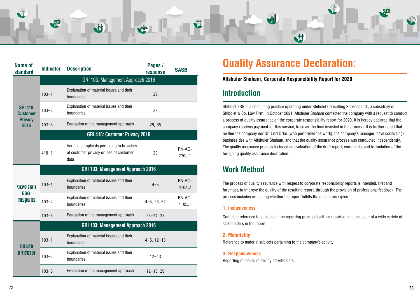<span id="page-36-0"></span>

| <b>Name of</b><br>standard         | <b>Indicator</b>                         | <b>Description</b>                                                                            | Pages /<br>response | <b>SASB</b>      |  |  |  |
|------------------------------------|------------------------------------------|-----------------------------------------------------------------------------------------------|---------------------|------------------|--|--|--|
|                                    | GRI 103: Management Approach 2016        |                                                                                               |                     |                  |  |  |  |
|                                    | $103 - 1$                                | Explanation of material issues and their<br>boundaries                                        | 29                  |                  |  |  |  |
| <b>GRI 418:</b><br><b>Customer</b> | $103 - 2$                                | Explanation of material issues and their<br>boundaries                                        | 29                  |                  |  |  |  |
| <b>Privacy</b><br>2016             | $103 - 3$                                | Evaluation of the management approach                                                         | 29, 35              |                  |  |  |  |
|                                    |                                          | GRI 418: Customer Privacy 2016                                                                |                     |                  |  |  |  |
|                                    | $418 - 1$                                | Verified complaints pertaining to breaches<br>of customer privacy or loss of customer<br>data | 29                  | FN-AC-<br>270a.1 |  |  |  |
|                                    | <b>GRI 103: Management Approach 2016</b> |                                                                                               |                     |                  |  |  |  |
| ויהול סיכוני                       | $103 - 1$                                | Explanation of material issues and their<br>boundaries                                        | $4 - 5$             | FN-AC-<br>410a.2 |  |  |  |
| <b>ESG</b><br><b>בהשקעות</b>       | $103 - 2$                                | Explanation of material issues and their<br>boundaries                                        | $4-5$ , 23, 52      | FN-AC-<br>410a.1 |  |  |  |
|                                    | $103 - 3$                                | Evaluation of the management approach                                                         | $23 - 24, 28$       |                  |  |  |  |
|                                    |                                          | <b>GRI 103: Management Approach 2016</b>                                                      |                     |                  |  |  |  |
| חדשנות                             | $103 - 1$                                | Explanation of material issues and their<br>boundaries                                        | $4-5, 12-13$        |                  |  |  |  |
| וטכנולוגיה                         | $103 - 2$                                | Explanation of material issues and their<br>boundaries                                        | $12 - 13$           |                  |  |  |  |
|                                    | $103 - 3$                                | Evaluation of the management approach                                                         | $12 - 13, 29$       |                  |  |  |  |

# **Quality Assurance Declaration:**

### **Altshuler Shaham, Corporate Responsibility Report for 2020**

#### **Inclusiveness 1.**

Complete reference to subjects in the reporting process itself, as reported, and inclusion of a wide variety of stakeholders in the report.

#### **Materiality 2.**

Reference to material subjects pertaining to the company's activity.

#### **Responsiveness 3.**

Reporting of issues raised by stakeholders.

### **Introduction**

Shibolet ESG is a consulting practice operating under Shibolet Consulting Services Ltd., a subsidiary of Shibolet & Co. Law Firm. In October 2021, Altshuler Shaham contacted the company with a request to conduct a process of quality assurance on the corporate responsibility report for 2020. It is hereby declared that the company receives payment for this service, to cover the time invested in the process. It is further noted that business ties with Altshuler Shaham, and that the quality assurance process was conducted independently. neither the company nor Dr. Liad Ortar (who performed the work), the company's manager, have consulting-The quality assurance process included an evaluation of the draft report, comments, and formulation of the foregoing quality assurance declaration.

### **Method Work**

The process of quality assurance with respect to corporate responsibility reports is intended, first and foremost, to improve the quality of the resulting report, through the provision of professional feedback. The process includes evaluating whether the report fulfills three main principles: